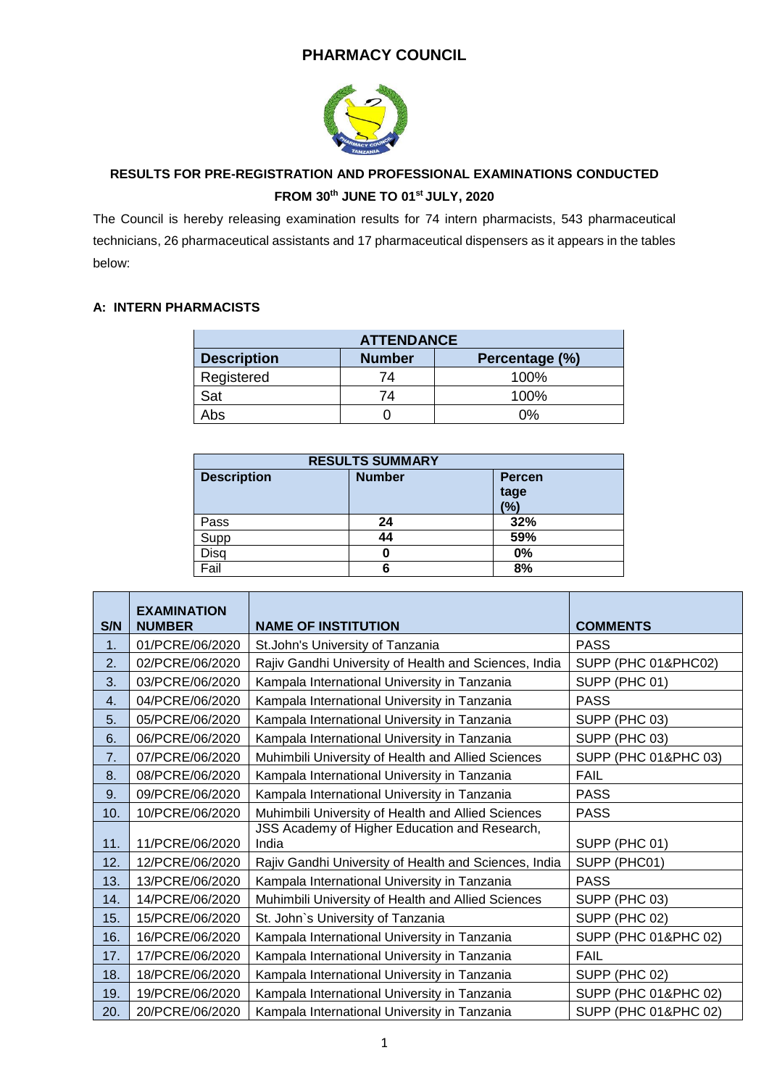## **PHARMACY COUNCIL**



# **RESULTS FOR PRE-REGISTRATION AND PROFESSIONAL EXAMINATIONS CONDUCTED FROM 30th JUNE TO 01st JULY, 2020**

The Council is hereby releasing examination results for 74 intern pharmacists, 543 pharmaceutical technicians, 26 pharmaceutical assistants and 17 pharmaceutical dispensers as it appears in the tables below:

### **A: INTERN PHARMACISTS**

| <b>ATTENDANCE</b>  |               |                |  |
|--------------------|---------------|----------------|--|
| <b>Description</b> | <b>Number</b> | Percentage (%) |  |
| Registered         | 74            | 100%           |  |
| Sat                | 74            | 100%           |  |
| Abs                |               | 0%             |  |

| <b>RESULTS SUMMARY</b> |               |                              |
|------------------------|---------------|------------------------------|
| <b>Description</b>     | <b>Number</b> | <b>Percen</b><br>tage<br>(%) |
| Pass                   | 24            | 32%                          |
| Supp                   | 44            | 59%                          |
| Disg                   |               | 0%                           |
| Fail                   | 6             | 8%                           |

| S/N | <b>EXAMINATION</b><br><b>NUMBER</b> | <b>NAME OF INSTITUTION</b>                             | <b>COMMENTS</b>      |
|-----|-------------------------------------|--------------------------------------------------------|----------------------|
| 1.  | 01/PCRE/06/2020                     | St. John's University of Tanzania                      | <b>PASS</b>          |
| 2.  | 02/PCRE/06/2020                     | Rajiv Gandhi University of Health and Sciences, India  | SUPP (PHC 01&PHC02)  |
| 3.  | 03/PCRE/06/2020                     | Kampala International University in Tanzania           | SUPP (PHC 01)        |
| 4.  | 04/PCRE/06/2020                     | Kampala International University in Tanzania           | <b>PASS</b>          |
| 5.  | 05/PCRE/06/2020                     | Kampala International University in Tanzania           | SUPP (PHC 03)        |
| 6.  | 06/PCRE/06/2020                     | Kampala International University in Tanzania           | SUPP (PHC 03)        |
| 7.  | 07/PCRE/06/2020                     | Muhimbili University of Health and Allied Sciences     | SUPP (PHC 01&PHC 03) |
| 8.  | 08/PCRE/06/2020                     | Kampala International University in Tanzania           | <b>FAIL</b>          |
| 9.  | 09/PCRE/06/2020                     | Kampala International University in Tanzania           | <b>PASS</b>          |
| 10. | 10/PCRE/06/2020                     | Muhimbili University of Health and Allied Sciences     | <b>PASS</b>          |
| 11. | 11/PCRE/06/2020                     | JSS Academy of Higher Education and Research,<br>India | SUPP (PHC 01)        |
| 12. | 12/PCRE/06/2020                     | Rajiv Gandhi University of Health and Sciences, India  | SUPP (PHC01)         |
| 13. | 13/PCRE/06/2020                     | Kampala International University in Tanzania           | <b>PASS</b>          |
| 14. | 14/PCRE/06/2020                     | Muhimbili University of Health and Allied Sciences     | SUPP (PHC 03)        |
| 15. | 15/PCRE/06/2020                     | St. John's University of Tanzania                      | SUPP (PHC 02)        |
| 16. | 16/PCRE/06/2020                     | Kampala International University in Tanzania           | SUPP (PHC 01&PHC 02) |
| 17. | 17/PCRE/06/2020                     | Kampala International University in Tanzania           | <b>FAIL</b>          |
| 18. | 18/PCRE/06/2020                     | Kampala International University in Tanzania           | SUPP (PHC 02)        |
| 19. | 19/PCRE/06/2020                     | Kampala International University in Tanzania           | SUPP (PHC 01&PHC 02) |
| 20. | 20/PCRE/06/2020                     | Kampala International University in Tanzania           | SUPP (PHC 01&PHC 02) |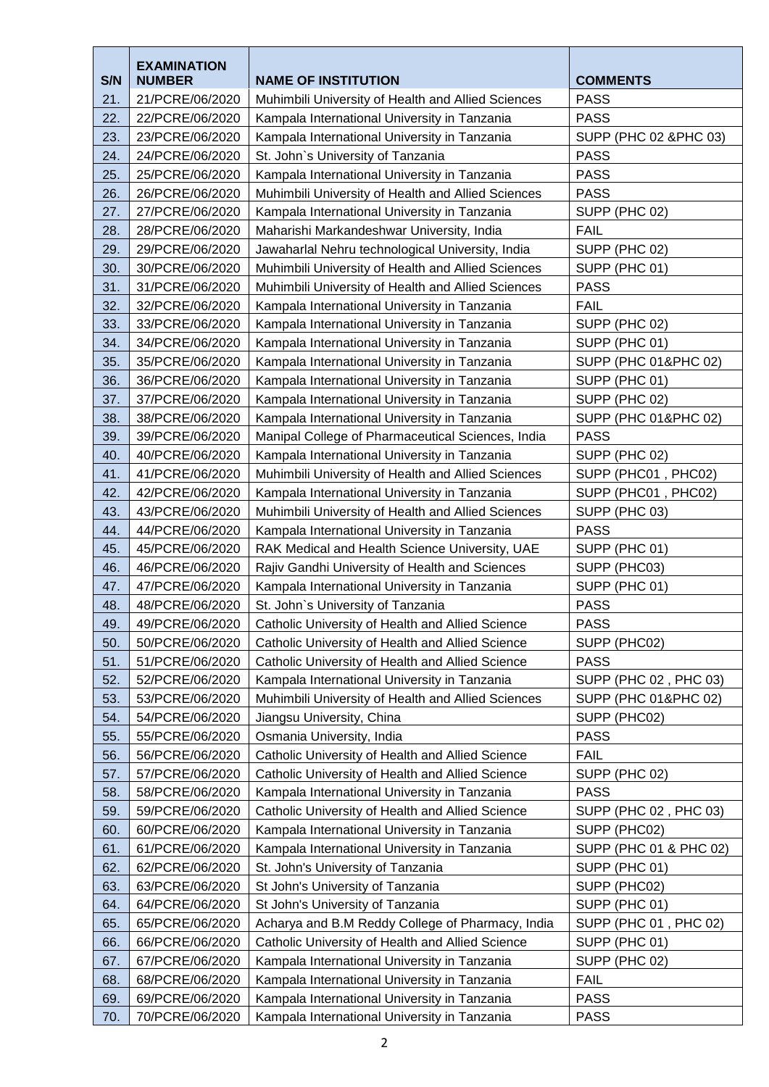|     | <b>EXAMINATION</b> |                                                    |                        |
|-----|--------------------|----------------------------------------------------|------------------------|
| S/N | <b>NUMBER</b>      | <b>NAME OF INSTITUTION</b>                         | <b>COMMENTS</b>        |
| 21. | 21/PCRE/06/2020    | Muhimbili University of Health and Allied Sciences | <b>PASS</b>            |
| 22. | 22/PCRE/06/2020    | Kampala International University in Tanzania       | <b>PASS</b>            |
| 23. | 23/PCRE/06/2020    | Kampala International University in Tanzania       | SUPP (PHC 02 & PHC 03) |
| 24. | 24/PCRE/06/2020    | St. John's University of Tanzania                  | <b>PASS</b>            |
| 25. | 25/PCRE/06/2020    | Kampala International University in Tanzania       | <b>PASS</b>            |
| 26. | 26/PCRE/06/2020    | Muhimbili University of Health and Allied Sciences | <b>PASS</b>            |
| 27. | 27/PCRE/06/2020    | Kampala International University in Tanzania       | SUPP (PHC 02)          |
| 28. | 28/PCRE/06/2020    | Maharishi Markandeshwar University, India          | <b>FAIL</b>            |
| 29. | 29/PCRE/06/2020    | Jawaharlal Nehru technological University, India   | SUPP (PHC 02)          |
| 30. | 30/PCRE/06/2020    | Muhimbili University of Health and Allied Sciences | SUPP (PHC 01)          |
| 31. | 31/PCRE/06/2020    | Muhimbili University of Health and Allied Sciences | <b>PASS</b>            |
| 32. | 32/PCRE/06/2020    | Kampala International University in Tanzania       | <b>FAIL</b>            |
| 33. | 33/PCRE/06/2020    | Kampala International University in Tanzania       | SUPP (PHC 02)          |
| 34. | 34/PCRE/06/2020    | Kampala International University in Tanzania       | SUPP (PHC 01)          |
| 35. | 35/PCRE/06/2020    | Kampala International University in Tanzania       | SUPP (PHC 01&PHC 02)   |
| 36. | 36/PCRE/06/2020    | Kampala International University in Tanzania       | SUPP (PHC 01)          |
| 37. | 37/PCRE/06/2020    | Kampala International University in Tanzania       | SUPP (PHC 02)          |
| 38. | 38/PCRE/06/2020    | Kampala International University in Tanzania       | SUPP (PHC 01&PHC 02)   |
| 39. | 39/PCRE/06/2020    | Manipal College of Pharmaceutical Sciences, India  | <b>PASS</b>            |
| 40. | 40/PCRE/06/2020    | Kampala International University in Tanzania       | SUPP (PHC 02)          |
| 41. | 41/PCRE/06/2020    | Muhimbili University of Health and Allied Sciences | SUPP (PHC01, PHC02)    |
| 42. | 42/PCRE/06/2020    | Kampala International University in Tanzania       | SUPP (PHC01, PHC02)    |
| 43. | 43/PCRE/06/2020    | Muhimbili University of Health and Allied Sciences | SUPP (PHC 03)          |
| 44. | 44/PCRE/06/2020    | Kampala International University in Tanzania       | <b>PASS</b>            |
| 45. | 45/PCRE/06/2020    | RAK Medical and Health Science University, UAE     | SUPP (PHC 01)          |
| 46. | 46/PCRE/06/2020    | Rajiv Gandhi University of Health and Sciences     | SUPP (PHC03)           |
| 47. | 47/PCRE/06/2020    | Kampala International University in Tanzania       | SUPP (PHC 01)          |
| 48. | 48/PCRE/06/2020    | St. John's University of Tanzania                  | <b>PASS</b>            |
| 49. | 49/PCRE/06/2020    | Catholic University of Health and Allied Science   | <b>PASS</b>            |
| 50. | 50/PCRE/06/2020    | Catholic University of Health and Allied Science   | SUPP (PHC02)           |
| 51. | 51/PCRE/06/2020    | Catholic University of Health and Allied Science   | <b>PASS</b>            |
| 52. | 52/PCRE/06/2020    | Kampala International University in Tanzania       | SUPP (PHC 02, PHC 03)  |
| 53. | 53/PCRE/06/2020    | Muhimbili University of Health and Allied Sciences | SUPP (PHC 01&PHC 02)   |
| 54. | 54/PCRE/06/2020    | Jiangsu University, China                          | SUPP (PHC02)           |
| 55. | 55/PCRE/06/2020    | Osmania University, India                          | <b>PASS</b>            |
| 56. | 56/PCRE/06/2020    | Catholic University of Health and Allied Science   | <b>FAIL</b>            |
| 57. | 57/PCRE/06/2020    | Catholic University of Health and Allied Science   | SUPP (PHC 02)          |
| 58. | 58/PCRE/06/2020    | Kampala International University in Tanzania       | <b>PASS</b>            |
| 59. | 59/PCRE/06/2020    | Catholic University of Health and Allied Science   | SUPP (PHC 02, PHC 03)  |
| 60. | 60/PCRE/06/2020    | Kampala International University in Tanzania       | SUPP (PHC02)           |
| 61. | 61/PCRE/06/2020    | Kampala International University in Tanzania       | SUPP (PHC 01 & PHC 02) |
| 62. | 62/PCRE/06/2020    | St. John's University of Tanzania                  | SUPP (PHC 01)          |
| 63. | 63/PCRE/06/2020    | St John's University of Tanzania                   | SUPP (PHC02)           |
| 64. | 64/PCRE/06/2020    | St John's University of Tanzania                   | SUPP (PHC 01)          |
| 65. | 65/PCRE/06/2020    | Acharya and B.M Reddy College of Pharmacy, India   | SUPP (PHC 01, PHC 02)  |
| 66. | 66/PCRE/06/2020    | Catholic University of Health and Allied Science   | SUPP (PHC 01)          |
| 67. | 67/PCRE/06/2020    | Kampala International University in Tanzania       | SUPP (PHC 02)          |
| 68. | 68/PCRE/06/2020    | Kampala International University in Tanzania       | <b>FAIL</b>            |
| 69. | 69/PCRE/06/2020    | Kampala International University in Tanzania       | <b>PASS</b>            |
| 70. | 70/PCRE/06/2020    | Kampala International University in Tanzania       | <b>PASS</b>            |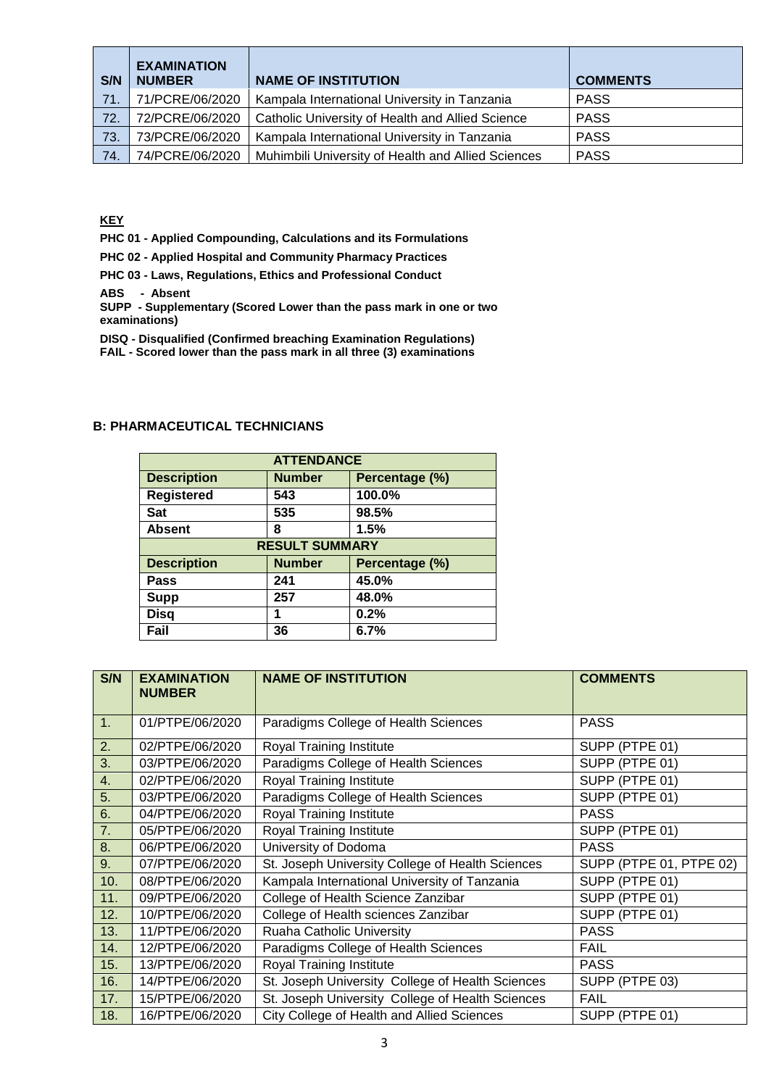| S/N | <b>EXAMINATION</b><br><b>NUMBER</b> | <b>NAME OF INSTITUTION</b>                         | <b>COMMENTS</b> |
|-----|-------------------------------------|----------------------------------------------------|-----------------|
| 71. | 71/PCRE/06/2020                     | Kampala International University in Tanzania       | <b>PASS</b>     |
| 72. | 72/PCRE/06/2020                     | Catholic University of Health and Allied Science   | <b>PASS</b>     |
| 73. | 73/PCRE/06/2020                     | Kampala International University in Tanzania       | <b>PASS</b>     |
| 74. | 74/PCRE/06/2020                     | Muhimbili University of Health and Allied Sciences | <b>PASS</b>     |

**KEY**

**PHC 01 - Applied Compounding, Calculations and its Formulations**

**PHC 02 - Applied Hospital and Community Pharmacy Practices**

**PHC 03 - Laws, Regulations, Ethics and Professional Conduct**

**ABS - Absent**

**SUPP - Supplementary (Scored Lower than the pass mark in one or two examinations)**

**DISQ - Disqualified (Confirmed breaching Examination Regulations)**

**FAIL - Scored lower than the pass mark in all three (3) examinations**

| <b>ATTENDANCE</b>  |                                 |                |  |  |  |
|--------------------|---------------------------------|----------------|--|--|--|
| <b>Description</b> | <b>Number</b><br>Percentage (%) |                |  |  |  |
| <b>Registered</b>  | 543                             | 100.0%         |  |  |  |
| <b>Sat</b>         | 535                             | 98.5%          |  |  |  |
| <b>Absent</b>      | 8                               | 1.5%           |  |  |  |
|                    | <b>RESULT SUMMARY</b>           |                |  |  |  |
| <b>Description</b> | <b>Number</b>                   | Percentage (%) |  |  |  |
| Pass               | 241                             | 45.0%          |  |  |  |
| <b>Supp</b>        | 257                             | 48.0%          |  |  |  |
| <b>Disq</b>        |                                 | 0.2%           |  |  |  |
| Fail               | 36                              | 6.7%           |  |  |  |

#### **B: PHARMACEUTICAL TECHNICIANS**

| S/N | <b>EXAMINATION</b> | <b>NAME OF INSTITUTION</b>                       | <b>COMMENTS</b>         |
|-----|--------------------|--------------------------------------------------|-------------------------|
|     | <b>NUMBER</b>      |                                                  |                         |
|     |                    |                                                  |                         |
| 1.  | 01/PTPE/06/2020    | Paradigms College of Health Sciences             | <b>PASS</b>             |
| 2.  | 02/PTPE/06/2020    | Royal Training Institute                         | SUPP (PTPE 01)          |
| 3.  | 03/PTPE/06/2020    | Paradigms College of Health Sciences             | SUPP (PTPE 01)          |
| 4.  | 02/PTPE/06/2020    | Royal Training Institute                         | SUPP (PTPE 01)          |
| 5.  | 03/PTPE/06/2020    | Paradigms College of Health Sciences             | SUPP (PTPE 01)          |
| 6.  | 04/PTPE/06/2020    | Royal Training Institute                         | <b>PASS</b>             |
| 7.  | 05/PTPE/06/2020    | Royal Training Institute                         | SUPP (PTPE 01)          |
| 8.  | 06/PTPE/06/2020    | University of Dodoma                             | <b>PASS</b>             |
| 9.  | 07/PTPE/06/2020    | St. Joseph University College of Health Sciences | SUPP (PTPE 01, PTPE 02) |
| 10. | 08/PTPE/06/2020    | Kampala International University of Tanzania     | SUPP (PTPE 01)          |
| 11. | 09/PTPE/06/2020    | College of Health Science Zanzibar               | SUPP (PTPE 01)          |
| 12. | 10/PTPE/06/2020    | College of Health sciences Zanzibar              | SUPP (PTPE 01)          |
| 13. | 11/PTPE/06/2020    | Ruaha Catholic University                        | <b>PASS</b>             |
| 14. | 12/PTPE/06/2020    | Paradigms College of Health Sciences             | <b>FAIL</b>             |
| 15. | 13/PTPE/06/2020    | Royal Training Institute                         | <b>PASS</b>             |
| 16. | 14/PTPE/06/2020    | St. Joseph University College of Health Sciences | SUPP (PTPE 03)          |
| 17. | 15/PTPE/06/2020    | St. Joseph University College of Health Sciences | <b>FAIL</b>             |
| 18. | 16/PTPE/06/2020    | City College of Health and Allied Sciences       | SUPP (PTPE 01)          |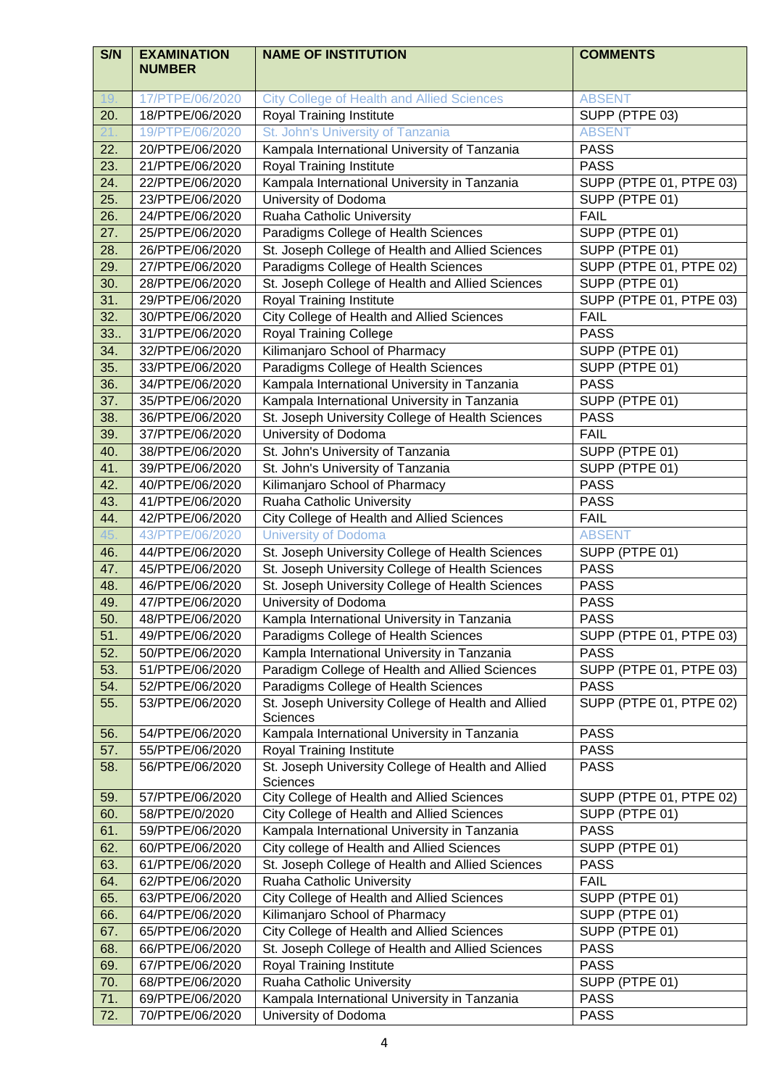| S/N        | <b>EXAMINATION</b>                 | <b>NAME OF INSTITUTION</b>                                               | <b>COMMENTS</b>            |
|------------|------------------------------------|--------------------------------------------------------------------------|----------------------------|
|            | <b>NUMBER</b>                      |                                                                          |                            |
| 19.        | 17/PTPE/06/2020                    | <b>City College of Health and Allied Sciences</b>                        | <b>ABSENT</b>              |
| 20.        | 18/PTPE/06/2020                    | Royal Training Institute                                                 | SUPP (PTPE 03)             |
| 21         | 19/PTPE/06/2020                    | St. John's University of Tanzania                                        | <b>ABSENT</b>              |
| 22.        | 20/PTPE/06/2020                    | Kampala International University of Tanzania                             | <b>PASS</b>                |
| 23.        | 21/PTPE/06/2020                    | Royal Training Institute                                                 | <b>PASS</b>                |
| 24.        | 22/PTPE/06/2020                    | Kampala International University in Tanzania                             | SUPP (PTPE 01, PTPE 03)    |
| 25.        | 23/PTPE/06/2020                    | University of Dodoma                                                     | SUPP (PTPE 01)             |
| 26.        | 24/PTPE/06/2020                    | Ruaha Catholic University                                                | <b>FAIL</b>                |
| 27.        | 25/PTPE/06/2020                    | Paradigms College of Health Sciences                                     | SUPP (PTPE 01)             |
| 28.        | 26/PTPE/06/2020                    | St. Joseph College of Health and Allied Sciences                         | SUPP (PTPE 01)             |
| 29.        | 27/PTPE/06/2020                    | Paradigms College of Health Sciences                                     | SUPP (PTPE 01, PTPE 02)    |
| 30.        | 28/PTPE/06/2020                    | St. Joseph College of Health and Allied Sciences                         | SUPP (PTPE 01)             |
| 31.        | 29/PTPE/06/2020                    | Royal Training Institute                                                 | SUPP (PTPE 01, PTPE 03)    |
| 32.        | 30/PTPE/06/2020                    | City College of Health and Allied Sciences                               | <b>FAIL</b>                |
| 33.        | 31/PTPE/06/2020                    | <b>Royal Training College</b>                                            | <b>PASS</b>                |
| 34.        | 32/PTPE/06/2020                    | Kilimanjaro School of Pharmacy                                           | SUPP (PTPE 01)             |
| 35.        | 33/PTPE/06/2020                    | Paradigms College of Health Sciences                                     | SUPP (PTPE 01)             |
| 36.        | 34/PTPE/06/2020                    | Kampala International University in Tanzania                             | <b>PASS</b>                |
| 37.        | 35/PTPE/06/2020                    | Kampala International University in Tanzania                             | SUPP (PTPE 01)             |
| 38.        | 36/PTPE/06/2020                    | St. Joseph University College of Health Sciences                         | <b>PASS</b>                |
| 39.        | 37/PTPE/06/2020                    | University of Dodoma                                                     | <b>FAIL</b>                |
| 40.        | 38/PTPE/06/2020                    | St. John's University of Tanzania                                        | SUPP (PTPE 01)             |
| 41.        | 39/PTPE/06/2020                    | St. John's University of Tanzania                                        | SUPP (PTPE 01)             |
| 42.        | 40/PTPE/06/2020                    | Kilimanjaro School of Pharmacy                                           | <b>PASS</b>                |
| 43.        | 41/PTPE/06/2020                    | Ruaha Catholic University                                                | <b>PASS</b>                |
| 44.        | 42/PTPE/06/2020                    | City College of Health and Allied Sciences                               | <b>FAIL</b>                |
| 45.        | 43/PTPE/06/2020                    | <b>University of Dodoma</b>                                              | <b>ABSENT</b>              |
| 46.        | 44/PTPE/06/2020                    | St. Joseph University College of Health Sciences                         | SUPP (PTPE 01)             |
| 47.        | 45/PTPE/06/2020                    | St. Joseph University College of Health Sciences                         | <b>PASS</b>                |
| 48.        | 46/PTPE/06/2020                    | St. Joseph University College of Health Sciences                         | <b>PASS</b>                |
| 49.        | 47/PTPE/06/2020                    | University of Dodoma                                                     | <b>PASS</b>                |
| 50.        | 48/PTPE/06/2020                    | Kampla International University in Tanzania                              | <b>PASS</b>                |
| 51.        | 49/PTPE/06/2020                    | Paradigms College of Health Sciences                                     | SUPP (PTPE 01, PTPE 03)    |
| 52.        | 50/PTPE/06/2020                    | Kampla International University in Tanzania                              | <b>PASS</b>                |
| 53.        | 51/PTPE/06/2020                    | Paradigm College of Health and Allied Sciences                           | SUPP (PTPE 01, PTPE 03)    |
| 54.        | 52/PTPE/06/2020                    | Paradigms College of Health Sciences                                     | <b>PASS</b>                |
| 55.        | 53/PTPE/06/2020                    | St. Joseph University College of Health and Allied                       | SUPP (PTPE 01, PTPE 02)    |
|            |                                    | Sciences                                                                 |                            |
| 56.        | 54/PTPE/06/2020<br>55/PTPE/06/2020 | Kampala International University in Tanzania<br>Royal Training Institute | <b>PASS</b>                |
| 57.<br>58. | 56/PTPE/06/2020                    | St. Joseph University College of Health and Allied                       | <b>PASS</b><br><b>PASS</b> |
|            |                                    | Sciences                                                                 |                            |
| 59.        | 57/PTPE/06/2020                    | City College of Health and Allied Sciences                               | SUPP (PTPE 01, PTPE 02)    |
| 60.        | 58/PTPE/0/2020                     | City College of Health and Allied Sciences                               | SUPP (PTPE 01)             |
| 61.        | 59/PTPE/06/2020                    | Kampala International University in Tanzania                             | <b>PASS</b>                |
| 62.        | 60/PTPE/06/2020                    | City college of Health and Allied Sciences                               | SUPP (PTPE 01)             |
| 63.        | 61/PTPE/06/2020                    | St. Joseph College of Health and Allied Sciences                         | <b>PASS</b>                |
| 64.        | 62/PTPE/06/2020                    | Ruaha Catholic University                                                | <b>FAIL</b>                |
| 65.        | 63/PTPE/06/2020                    | City College of Health and Allied Sciences                               | SUPP (PTPE 01)             |
| 66.        | 64/PTPE/06/2020                    | Kilimanjaro School of Pharmacy                                           | SUPP (PTPE 01)             |
| 67.        | 65/PTPE/06/2020                    | City College of Health and Allied Sciences                               | SUPP (PTPE 01)             |
| 68.        | 66/PTPE/06/2020                    | St. Joseph College of Health and Allied Sciences                         | <b>PASS</b>                |
| 69.        | 67/PTPE/06/2020                    | Royal Training Institute                                                 | <b>PASS</b>                |
| 70.        | 68/PTPE/06/2020                    | Ruaha Catholic University                                                | SUPP (PTPE 01)             |
| 71.        | 69/PTPE/06/2020                    | Kampala International University in Tanzania                             | <b>PASS</b>                |
| 72.        | 70/PTPE/06/2020                    | University of Dodoma                                                     | <b>PASS</b>                |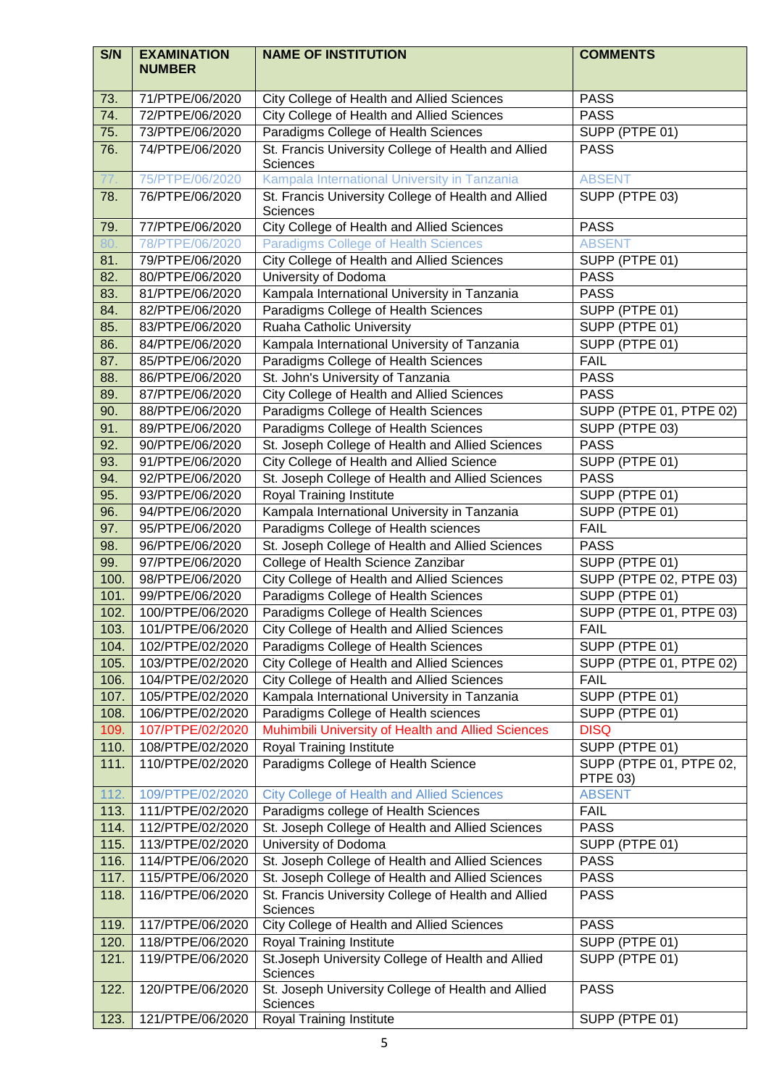| S/N          | <b>EXAMINATION</b><br><b>NUMBER</b>  | <b>NAME OF INSTITUTION</b>                                                                      | <b>COMMENTS</b>                        |
|--------------|--------------------------------------|-------------------------------------------------------------------------------------------------|----------------------------------------|
| 73.          | 71/PTPE/06/2020                      | City College of Health and Allied Sciences                                                      | <b>PASS</b>                            |
| 74.          | 72/PTPE/06/2020                      | <b>City College of Health and Allied Sciences</b>                                               | <b>PASS</b>                            |
| 75.          | 73/PTPE/06/2020                      | Paradigms College of Health Sciences                                                            | SUPP (PTPE 01)                         |
| 76.          | 74/PTPE/06/2020                      | St. Francis University College of Health and Allied<br>Sciences                                 | <b>PASS</b>                            |
| 77.          | 75/PTPE/06/2020                      | Kampala International University in Tanzania                                                    | <b>ABSENT</b>                          |
| 78.          | 76/PTPE/06/2020                      | St. Francis University College of Health and Allied<br>Sciences                                 | SUPP (PTPE 03)                         |
| 79.          | 77/PTPE/06/2020                      | City College of Health and Allied Sciences                                                      | <b>PASS</b>                            |
| 80.          | 78/PTPE/06/2020                      | <b>Paradigms College of Health Sciences</b>                                                     | <b>ABSENT</b>                          |
| 81.          | 79/PTPE/06/2020                      | <b>City College of Health and Allied Sciences</b>                                               | SUPP (PTPE 01)                         |
| 82.          | 80/PTPE/06/2020                      | University of Dodoma                                                                            | <b>PASS</b>                            |
| 83.          | 81/PTPE/06/2020                      | Kampala International University in Tanzania                                                    | <b>PASS</b>                            |
| 84.          | 82/PTPE/06/2020                      | Paradigms College of Health Sciences                                                            | SUPP (PTPE 01)                         |
| 85.          | 83/PTPE/06/2020                      | Ruaha Catholic University                                                                       | SUPP (PTPE 01)                         |
| 86.          | 84/PTPE/06/2020                      | Kampala International University of Tanzania                                                    | SUPP (PTPE 01)                         |
| 87.          | 85/PTPE/06/2020                      | Paradigms College of Health Sciences                                                            | <b>FAIL</b>                            |
| 88.          | 86/PTPE/06/2020                      | St. John's University of Tanzania                                                               | <b>PASS</b>                            |
| 89.          | 87/PTPE/06/2020                      | <b>City College of Health and Allied Sciences</b>                                               | <b>PASS</b>                            |
| 90.          | 88/PTPE/06/2020                      | Paradigms College of Health Sciences                                                            | SUPP (PTPE 01, PTPE 02)                |
| 91.          | 89/PTPE/06/2020                      | Paradigms College of Health Sciences                                                            | SUPP (PTPE 03)                         |
| 92.          | 90/PTPE/06/2020                      | St. Joseph College of Health and Allied Sciences                                                | <b>PASS</b>                            |
| 93.          | 91/PTPE/06/2020                      | City College of Health and Allied Science                                                       | SUPP (PTPE 01)                         |
| 94.          | 92/PTPE/06/2020                      | St. Joseph College of Health and Allied Sciences                                                | <b>PASS</b>                            |
| 95.          | 93/PTPE/06/2020                      | Royal Training Institute                                                                        | SUPP (PTPE 01)                         |
| 96.          | 94/PTPE/06/2020                      | Kampala International University in Tanzania                                                    | SUPP (PTPE 01)                         |
| 97.          | 95/PTPE/06/2020                      | Paradigms College of Health sciences                                                            | <b>FAIL</b>                            |
| 98.          | 96/PTPE/06/2020                      | St. Joseph College of Health and Allied Sciences                                                | <b>PASS</b>                            |
| 99.          | 97/PTPE/06/2020                      | College of Health Science Zanzibar                                                              | SUPP (PTPE 01)                         |
| 100.         | 98/PTPE/06/2020                      | <b>City College of Health and Allied Sciences</b>                                               | SUPP (PTPE 02, PTPE 03)                |
| 101.         | 99/PTPE/06/2020                      | Paradigms College of Health Sciences                                                            | SUPP (PTPE 01)                         |
| 102.         | 100/PTPE/06/2020                     | Paradigms College of Health Sciences                                                            | SUPP (PTPE 01, PTPE 03)                |
| 103.         | 101/PTPE/06/2020                     | <b>City College of Health and Allied Sciences</b>                                               | <b>FAIL</b>                            |
| 104.         | 102/PTPE/02/2020<br>103/PTPE/02/2020 | Paradigms College of Health Sciences                                                            | SUPP (PTPE 01)                         |
| 105.<br>106. | 104/PTPE/02/2020                     | City College of Health and Allied Sciences<br><b>City College of Health and Allied Sciences</b> | SUPP (PTPE 01, PTPE 02)<br><b>FAIL</b> |
| 107.         | 105/PTPE/02/2020                     | Kampala International University in Tanzania                                                    | SUPP (PTPE 01)                         |
| 108.         | 106/PTPE/02/2020                     | Paradigms College of Health sciences                                                            | SUPP (PTPE 01)                         |
| 109.         | 107/PTPE/02/2020                     | Muhimbili University of Health and Allied Sciences                                              | <b>DISQ</b>                            |
| 110.         | 108/PTPE/02/2020                     | Royal Training Institute                                                                        | SUPP (PTPE 01)                         |
| 111.         | 110/PTPE/02/2020                     | Paradigms College of Health Science                                                             | SUPP (PTPE 01, PTPE 02,<br>PTPE 03)    |
| 112.         | 109/PTPE/02/2020                     | <b>City College of Health and Allied Sciences</b>                                               | <b>ABSENT</b>                          |
| 113.         | 111/PTPE/02/2020                     | Paradigms college of Health Sciences                                                            | <b>FAIL</b>                            |
| 114.         | 112/PTPE/02/2020                     | St. Joseph College of Health and Allied Sciences                                                | <b>PASS</b>                            |
| 115.         | 113/PTPE/02/2020                     | University of Dodoma                                                                            | SUPP (PTPE 01)                         |
| 116.         | 114/PTPE/06/2020                     | St. Joseph College of Health and Allied Sciences                                                | <b>PASS</b>                            |
| 117.         | 115/PTPE/06/2020                     | St. Joseph College of Health and Allied Sciences                                                | <b>PASS</b>                            |
| 118.         | 116/PTPE/06/2020                     | St. Francis University College of Health and Allied<br>Sciences                                 | <b>PASS</b>                            |
| 119.         | 117/PTPE/06/2020                     | City College of Health and Allied Sciences                                                      | <b>PASS</b>                            |
| 120.         | 118/PTPE/06/2020                     | Royal Training Institute                                                                        | SUPP (PTPE 01)                         |
| 121.         | 119/PTPE/06/2020                     | St. Joseph University College of Health and Allied<br>Sciences                                  | SUPP (PTPE 01)                         |
| 122.         | 120/PTPE/06/2020                     | St. Joseph University College of Health and Allied<br>Sciences                                  | <b>PASS</b>                            |
| 123.         | 121/PTPE/06/2020                     | Royal Training Institute                                                                        | SUPP (PTPE 01)                         |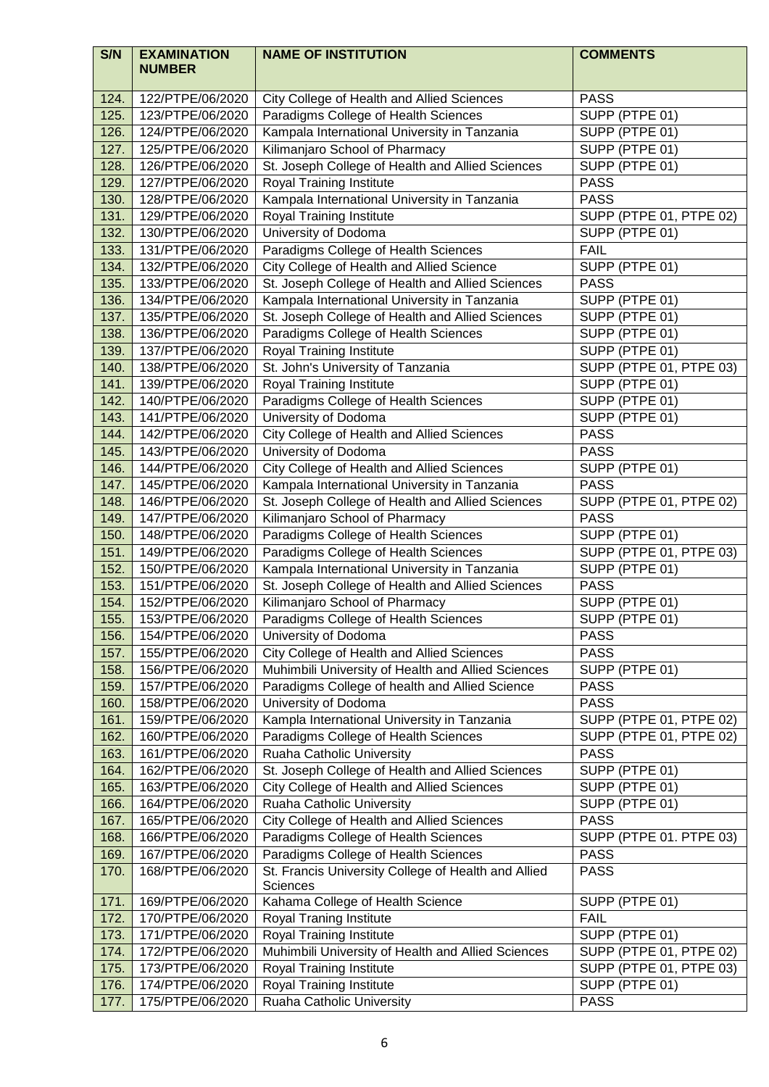| S/N          | <b>EXAMINATION</b><br><b>NUMBER</b>  | <b>NAME OF INSTITUTION</b>                                      | <b>COMMENTS</b>               |
|--------------|--------------------------------------|-----------------------------------------------------------------|-------------------------------|
| 124.         | 122/PTPE/06/2020                     | City College of Health and Allied Sciences                      | <b>PASS</b>                   |
| 125.         | 123/PTPE/06/2020                     | Paradigms College of Health Sciences                            | SUPP (PTPE 01)                |
| 126.         | 124/PTPE/06/2020                     | Kampala International University in Tanzania                    | SUPP (PTPE 01)                |
| 127.         | 125/PTPE/06/2020                     | Kilimanjaro School of Pharmacy                                  | SUPP (PTPE 01)                |
| 128.         | 126/PTPE/06/2020                     | St. Joseph College of Health and Allied Sciences                | SUPP (PTPE 01)                |
| 129.         | 127/PTPE/06/2020                     | Royal Training Institute                                        | <b>PASS</b>                   |
| 130.         | 128/PTPE/06/2020                     | Kampala International University in Tanzania                    | <b>PASS</b>                   |
| 131.         | 129/PTPE/06/2020                     | Royal Training Institute                                        | SUPP (PTPE 01, PTPE 02)       |
| 132.         | 130/PTPE/06/2020                     | University of Dodoma                                            | SUPP (PTPE 01)                |
| 133.         | 131/PTPE/06/2020                     | Paradigms College of Health Sciences                            | <b>FAIL</b>                   |
| 134.         | 132/PTPE/06/2020                     | City College of Health and Allied Science                       | SUPP (PTPE 01)                |
| 135.         | 133/PTPE/06/2020                     | St. Joseph College of Health and Allied Sciences                | <b>PASS</b>                   |
| 136.         | 134/PTPE/06/2020                     | Kampala International University in Tanzania                    | SUPP (PTPE 01)                |
| 137.         | 135/PTPE/06/2020                     | St. Joseph College of Health and Allied Sciences                | SUPP (PTPE 01)                |
| 138.         | 136/PTPE/06/2020                     | Paradigms College of Health Sciences                            | SUPP (PTPE 01)                |
| 139.         | 137/PTPE/06/2020                     | <b>Royal Training Institute</b>                                 | SUPP (PTPE 01)                |
| 140.         | 138/PTPE/06/2020                     | St. John's University of Tanzania                               | SUPP (PTPE 01, PTPE 03)       |
| 141.         | 139/PTPE/06/2020                     | Royal Training Institute                                        | SUPP (PTPE 01)                |
| 142.         | 140/PTPE/06/2020                     | Paradigms College of Health Sciences                            | SUPP (PTPE 01)                |
| 143.         | 141/PTPE/06/2020                     | University of Dodoma                                            | SUPP (PTPE 01)                |
| 144.         | 142/PTPE/06/2020                     | <b>City College of Health and Allied Sciences</b>               | <b>PASS</b>                   |
| 145.         | 143/PTPE/06/2020                     | University of Dodoma                                            | <b>PASS</b>                   |
| 146.         | 144/PTPE/06/2020                     | City College of Health and Allied Sciences                      | SUPP (PTPE 01)                |
| 147.         | 145/PTPE/06/2020                     | Kampala International University in Tanzania                    | <b>PASS</b>                   |
| 148.         | 146/PTPE/06/2020                     | St. Joseph College of Health and Allied Sciences                | SUPP (PTPE 01, PTPE 02)       |
| 149.         | 147/PTPE/06/2020                     | Kilimanjaro School of Pharmacy                                  | <b>PASS</b>                   |
| 150.         | 148/PTPE/06/2020                     | Paradigms College of Health Sciences                            | SUPP (PTPE 01)                |
| 151.         | 149/PTPE/06/2020                     | Paradigms College of Health Sciences                            | SUPP (PTPE 01, PTPE 03)       |
| 152.         | 150/PTPE/06/2020                     | Kampala International University in Tanzania                    | SUPP (PTPE 01)                |
| 153.         | 151/PTPE/06/2020                     | St. Joseph College of Health and Allied Sciences                | <b>PASS</b>                   |
| 154.         | 152/PTPE/06/2020                     | Kilimanjaro School of Pharmacy                                  | SUPP (PTPE 01)                |
| 155.<br>156. | 153/PTPE/06/2020<br>154/PTPE/06/2020 | Paradigms College of Health Sciences<br>University of Dodoma    | SUPP (PTPE 01)<br><b>PASS</b> |
| 157.         | 155/PTPE/06/2020                     | City College of Health and Allied Sciences                      | <b>PASS</b>                   |
| 158.         | 156/PTPE/06/2020                     | Muhimbili University of Health and Allied Sciences              | SUPP (PTPE 01)                |
| 159.         | 157/PTPE/06/2020                     | Paradigms College of health and Allied Science                  | <b>PASS</b>                   |
| 160.         | 158/PTPE/06/2020                     | University of Dodoma                                            | <b>PASS</b>                   |
| 161.         | 159/PTPE/06/2020                     | Kampla International University in Tanzania                     | SUPP (PTPE 01, PTPE 02)       |
| 162.         | 160/PTPE/06/2020                     | Paradigms College of Health Sciences                            | SUPP (PTPE 01, PTPE 02)       |
| 163.         | 161/PTPE/06/2020                     | Ruaha Catholic University                                       | <b>PASS</b>                   |
| 164.         | 162/PTPE/06/2020                     | St. Joseph College of Health and Allied Sciences                | SUPP (PTPE 01)                |
| 165.         | 163/PTPE/06/2020                     | City College of Health and Allied Sciences                      | SUPP (PTPE 01)                |
| 166.         | 164/PTPE/06/2020                     | Ruaha Catholic University                                       | SUPP (PTPE 01)                |
| 167.         | 165/PTPE/06/2020                     | City College of Health and Allied Sciences                      | <b>PASS</b>                   |
| 168.         | 166/PTPE/06/2020                     | Paradigms College of Health Sciences                            | SUPP (PTPE 01. PTPE 03)       |
| 169.         | 167/PTPE/06/2020                     | Paradigms College of Health Sciences                            | <b>PASS</b>                   |
| 170.         | 168/PTPE/06/2020                     | St. Francis University College of Health and Allied<br>Sciences | <b>PASS</b>                   |
| 171.         | 169/PTPE/06/2020                     | Kahama College of Health Science                                | SUPP (PTPE 01)                |
| 172.         | 170/PTPE/06/2020                     | Royal Traning Institute                                         | <b>FAIL</b>                   |
| 173.         | 171/PTPE/06/2020                     | Royal Training Institute                                        | SUPP (PTPE 01)                |
| 174.         | 172/PTPE/06/2020                     | Muhimbili University of Health and Allied Sciences              | SUPP (PTPE 01, PTPE 02)       |
| 175.         | 173/PTPE/06/2020                     | Royal Training Institute                                        | SUPP (PTPE 01, PTPE 03)       |
| 176.         | 174/PTPE/06/2020                     | Royal Training Institute                                        | SUPP (PTPE 01)                |
| 177.         | 175/PTPE/06/2020                     | Ruaha Catholic University                                       | <b>PASS</b>                   |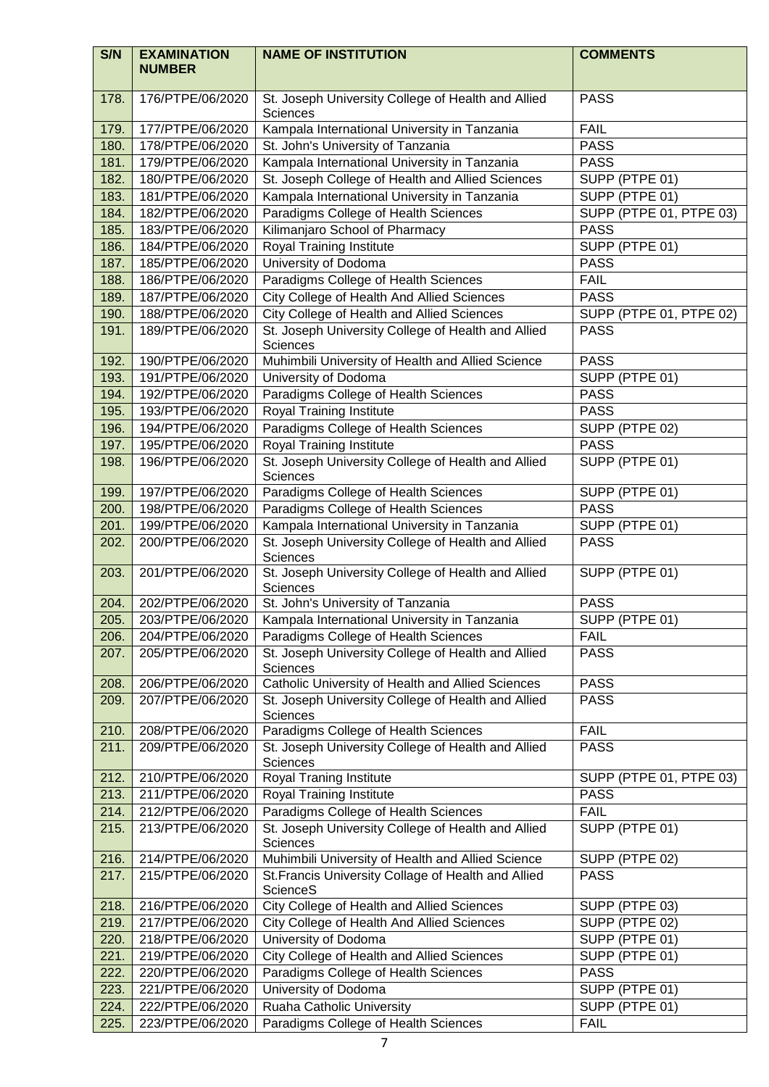| S/N          | <b>EXAMINATION</b><br><b>NUMBER</b>  | <b>NAME OF INSTITUTION</b>                                                                                           | <b>COMMENTS</b>            |
|--------------|--------------------------------------|----------------------------------------------------------------------------------------------------------------------|----------------------------|
| 178.         | 176/PTPE/06/2020                     | St. Joseph University College of Health and Allied<br><b>Sciences</b>                                                | <b>PASS</b>                |
| 179.         | 177/PTPE/06/2020                     | Kampala International University in Tanzania                                                                         | <b>FAIL</b>                |
| 180.         | 178/PTPE/06/2020                     | St. John's University of Tanzania                                                                                    | <b>PASS</b>                |
| 181.         | 179/PTPE/06/2020                     | Kampala International University in Tanzania                                                                         | <b>PASS</b>                |
| 182.         | 180/PTPE/06/2020                     | St. Joseph College of Health and Allied Sciences                                                                     | SUPP (PTPE 01)             |
| 183.         | 181/PTPE/06/2020                     | Kampala International University in Tanzania                                                                         | SUPP (PTPE 01)             |
| 184.         | 182/PTPE/06/2020                     | Paradigms College of Health Sciences                                                                                 | SUPP (PTPE 01, PTPE 03)    |
| 185.         | 183/PTPE/06/2020                     | Kilimanjaro School of Pharmacy                                                                                       | <b>PASS</b>                |
| 186.         | 184/PTPE/06/2020                     | Royal Training Institute                                                                                             | SUPP (PTPE 01)             |
| 187.         | 185/PTPE/06/2020                     | University of Dodoma                                                                                                 | <b>PASS</b>                |
| 188.         | 186/PTPE/06/2020                     | Paradigms College of Health Sciences                                                                                 | <b>FAIL</b>                |
| 189.         | 187/PTPE/06/2020                     | City College of Health And Allied Sciences                                                                           | <b>PASS</b>                |
| 190.         | 188/PTPE/06/2020                     | City College of Health and Allied Sciences                                                                           | SUPP (PTPE 01, PTPE 02)    |
| 191.         | 189/PTPE/06/2020                     | St. Joseph University College of Health and Allied                                                                   | <b>PASS</b>                |
|              |                                      | Sciences                                                                                                             |                            |
| 192.         | 190/PTPE/06/2020                     | Muhimbili University of Health and Allied Science                                                                    | <b>PASS</b>                |
| 193.         | 191/PTPE/06/2020                     | University of Dodoma                                                                                                 | SUPP (PTPE 01)             |
| 194.<br>195. | 192/PTPE/06/2020<br>193/PTPE/06/2020 | Paradigms College of Health Sciences                                                                                 | <b>PASS</b><br><b>PASS</b> |
| 196.         | 194/PTPE/06/2020                     | Royal Training Institute<br>Paradigms College of Health Sciences                                                     | SUPP (PTPE 02)             |
| 197.         | 195/PTPE/06/2020                     | <b>Royal Training Institute</b>                                                                                      | <b>PASS</b>                |
| 198.         | 196/PTPE/06/2020                     | St. Joseph University College of Health and Allied                                                                   | SUPP (PTPE 01)             |
|              |                                      | Sciences                                                                                                             |                            |
| 199.         | 197/PTPE/06/2020                     | Paradigms College of Health Sciences                                                                                 | SUPP (PTPE 01)             |
| 200.         | 198/PTPE/06/2020                     | Paradigms College of Health Sciences                                                                                 | <b>PASS</b>                |
| 201.         | 199/PTPE/06/2020                     | Kampala International University in Tanzania                                                                         | SUPP (PTPE 01)             |
| 202.         | 200/PTPE/06/2020<br>201/PTPE/06/2020 | St. Joseph University College of Health and Allied<br>Sciences<br>St. Joseph University College of Health and Allied | <b>PASS</b>                |
| 203.         |                                      | Sciences                                                                                                             | SUPP (PTPE 01)             |
| 204.         | 202/PTPE/06/2020                     | St. John's University of Tanzania                                                                                    | <b>PASS</b>                |
| 205.         | 203/PTPE/06/2020                     | Kampala International University in Tanzania                                                                         | SUPP (PTPE 01)             |
| 206.         | 204/PTPE/06/2020                     | Paradigms College of Health Sciences                                                                                 | <b>FAIL</b>                |
| 207.         | 205/PTPE/06/2020                     | St. Joseph University College of Health and Allied<br>Sciences                                                       | <b>PASS</b>                |
| 208.         | 206/PTPE/06/2020                     | Catholic University of Health and Allied Sciences                                                                    | <b>PASS</b>                |
| 209.         | 207/PTPE/06/2020                     | St. Joseph University College of Health and Allied<br>Sciences                                                       | <b>PASS</b>                |
| 210.         | 208/PTPE/06/2020                     | Paradigms College of Health Sciences                                                                                 | <b>FAIL</b>                |
| 211.         | 209/PTPE/06/2020                     | St. Joseph University College of Health and Allied<br>Sciences                                                       | <b>PASS</b>                |
| 212.         | 210/PTPE/06/2020                     | <b>Royal Traning Institute</b>                                                                                       | SUPP (PTPE 01, PTPE 03)    |
| 213.         | 211/PTPE/06/2020                     | Royal Training Institute                                                                                             | <b>PASS</b>                |
| 214.         | 212/PTPE/06/2020                     | Paradigms College of Health Sciences                                                                                 | <b>FAIL</b>                |
| 215.         | 213/PTPE/06/2020                     | St. Joseph University College of Health and Allied<br>Sciences                                                       | SUPP (PTPE 01)             |
| 216.         | 214/PTPE/06/2020                     | Muhimbili University of Health and Allied Science                                                                    | SUPP (PTPE 02)             |
| 217.         | 215/PTPE/06/2020                     | St. Francis University Collage of Health and Allied<br><b>ScienceS</b>                                               | <b>PASS</b>                |
| 218.         | 216/PTPE/06/2020                     | City College of Health and Allied Sciences                                                                           | SUPP (PTPE 03)             |
| 219.         | 217/PTPE/06/2020                     | City College of Health And Allied Sciences                                                                           | SUPP (PTPE 02)             |
| 220.         | 218/PTPE/06/2020                     | University of Dodoma                                                                                                 | SUPP (PTPE 01)             |
| 221.         | 219/PTPE/06/2020                     | <b>City College of Health and Allied Sciences</b>                                                                    | SUPP (PTPE 01)             |
| 222.         | 220/PTPE/06/2020                     | Paradigms College of Health Sciences                                                                                 | <b>PASS</b>                |
| 223.         | 221/PTPE/06/2020                     | University of Dodoma                                                                                                 | SUPP (PTPE 01)             |
| 224.         | 222/PTPE/06/2020                     | Ruaha Catholic University                                                                                            | SUPP (PTPE 01)             |
| 225.         | 223/PTPE/06/2020                     | Paradigms College of Health Sciences                                                                                 | <b>FAIL</b>                |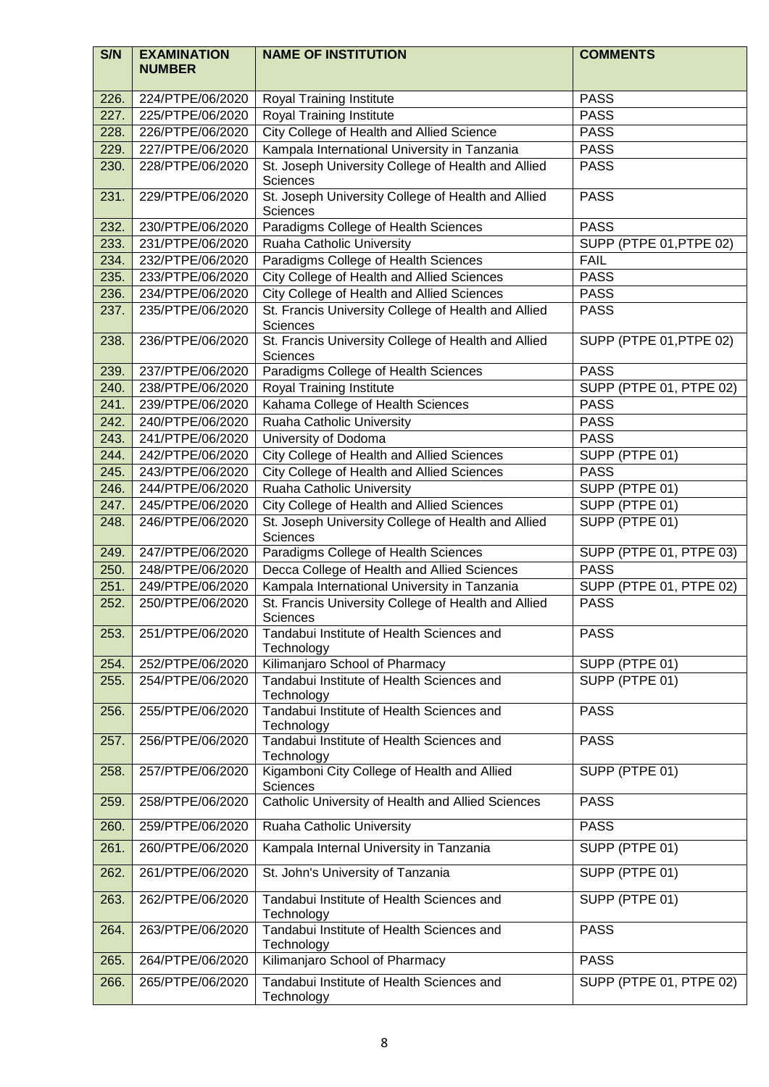| S/N  | <b>EXAMINATION</b><br><b>NUMBER</b> | <b>NAME OF INSTITUTION</b>                                             | <b>COMMENTS</b>         |
|------|-------------------------------------|------------------------------------------------------------------------|-------------------------|
| 226. | 224/PTPE/06/2020                    | <b>Royal Training Institute</b>                                        | <b>PASS</b>             |
| 227. | 225/PTPE/06/2020                    | Royal Training Institute                                               | <b>PASS</b>             |
| 228. | 226/PTPE/06/2020                    | City College of Health and Allied Science                              | <b>PASS</b>             |
| 229. | 227/PTPE/06/2020                    | Kampala International University in Tanzania                           | <b>PASS</b>             |
| 230. | 228/PTPE/06/2020                    | St. Joseph University College of Health and Allied                     | <b>PASS</b>             |
|      |                                     | <b>Sciences</b>                                                        |                         |
| 231. | 229/PTPE/06/2020                    | St. Joseph University College of Health and Allied<br>Sciences         | <b>PASS</b>             |
| 232. | 230/PTPE/06/2020                    | Paradigms College of Health Sciences                                   | <b>PASS</b>             |
| 233. | 231/PTPE/06/2020                    | Ruaha Catholic University                                              | SUPP (PTPE 01, PTPE 02) |
| 234. | 232/PTPE/06/2020                    | Paradigms College of Health Sciences                                   | <b>FAIL</b>             |
| 235. | 233/PTPE/06/2020                    | City College of Health and Allied Sciences                             | <b>PASS</b>             |
| 236. | 234/PTPE/06/2020                    | City College of Health and Allied Sciences                             | <b>PASS</b>             |
| 237. | 235/PTPE/06/2020                    | St. Francis University College of Health and Allied<br>Sciences        | <b>PASS</b>             |
| 238. | 236/PTPE/06/2020                    | St. Francis University College of Health and Allied<br><b>Sciences</b> | SUPP (PTPE 01, PTPE 02) |
| 239. | 237/PTPE/06/2020                    | Paradigms College of Health Sciences                                   | <b>PASS</b>             |
| 240. | 238/PTPE/06/2020                    | <b>Royal Training Institute</b>                                        | SUPP (PTPE 01, PTPE 02) |
| 241. | 239/PTPE/06/2020                    | Kahama College of Health Sciences                                      | <b>PASS</b>             |
| 242. | 240/PTPE/06/2020                    | Ruaha Catholic University                                              | <b>PASS</b>             |
| 243. | 241/PTPE/06/2020                    | University of Dodoma                                                   | <b>PASS</b>             |
| 244. | 242/PTPE/06/2020                    | City College of Health and Allied Sciences                             | SUPP (PTPE 01)          |
| 245. | 243/PTPE/06/2020                    | City College of Health and Allied Sciences                             | <b>PASS</b>             |
| 246. | 244/PTPE/06/2020                    | Ruaha Catholic University                                              | SUPP (PTPE 01)          |
| 247. | 245/PTPE/06/2020                    | City College of Health and Allied Sciences                             | SUPP (PTPE 01)          |
| 248. | 246/PTPE/06/2020                    | St. Joseph University College of Health and Allied<br>Sciences         | SUPP (PTPE 01)          |
| 249. | 247/PTPE/06/2020                    | Paradigms College of Health Sciences                                   | SUPP (PTPE 01, PTPE 03) |
| 250. | 248/PTPE/06/2020                    | Decca College of Health and Allied Sciences                            | <b>PASS</b>             |
| 251. | 249/PTPE/06/2020                    | Kampala International University in Tanzania                           | SUPP (PTPE 01, PTPE 02) |
| 252. | 250/PTPE/06/2020                    | St. Francis University College of Health and Allied<br>Sciences        | <b>PASS</b>             |
| 253. | 251/PTPE/06/2020                    | Tandabui Institute of Health Sciences and<br>Technology                | <b>PASS</b>             |
| 254. | 252/PTPE/06/2020                    | Kilimanjaro School of Pharmacy                                         | SUPP (PTPE 01)          |
| 255. | 254/PTPE/06/2020                    | Tandabui Institute of Health Sciences and<br>Technology                | SUPP (PTPE 01)          |
| 256. | 255/PTPE/06/2020                    | Tandabui Institute of Health Sciences and<br>Technology                | <b>PASS</b>             |
| 257. | 256/PTPE/06/2020                    | Tandabui Institute of Health Sciences and<br>Technology                | <b>PASS</b>             |
| 258. | 257/PTPE/06/2020                    | Kigamboni City College of Health and Allied<br><b>Sciences</b>         | SUPP (PTPE 01)          |
| 259. | 258/PTPE/06/2020                    | Catholic University of Health and Allied Sciences                      | <b>PASS</b>             |
| 260. | 259/PTPE/06/2020                    | Ruaha Catholic University                                              | <b>PASS</b>             |
| 261. | 260/PTPE/06/2020                    | Kampala Internal University in Tanzania                                | SUPP (PTPE 01)          |
| 262. | 261/PTPE/06/2020                    | St. John's University of Tanzania                                      | SUPP (PTPE 01)          |
| 263. | 262/PTPE/06/2020                    | Tandabui Institute of Health Sciences and<br>Technology                | SUPP (PTPE 01)          |
| 264. | 263/PTPE/06/2020                    | Tandabui Institute of Health Sciences and<br>Technology                | <b>PASS</b>             |
| 265. | 264/PTPE/06/2020                    | Kilimanjaro School of Pharmacy                                         | <b>PASS</b>             |
| 266. | 265/PTPE/06/2020                    | Tandabui Institute of Health Sciences and<br>Technology                | SUPP (PTPE 01, PTPE 02) |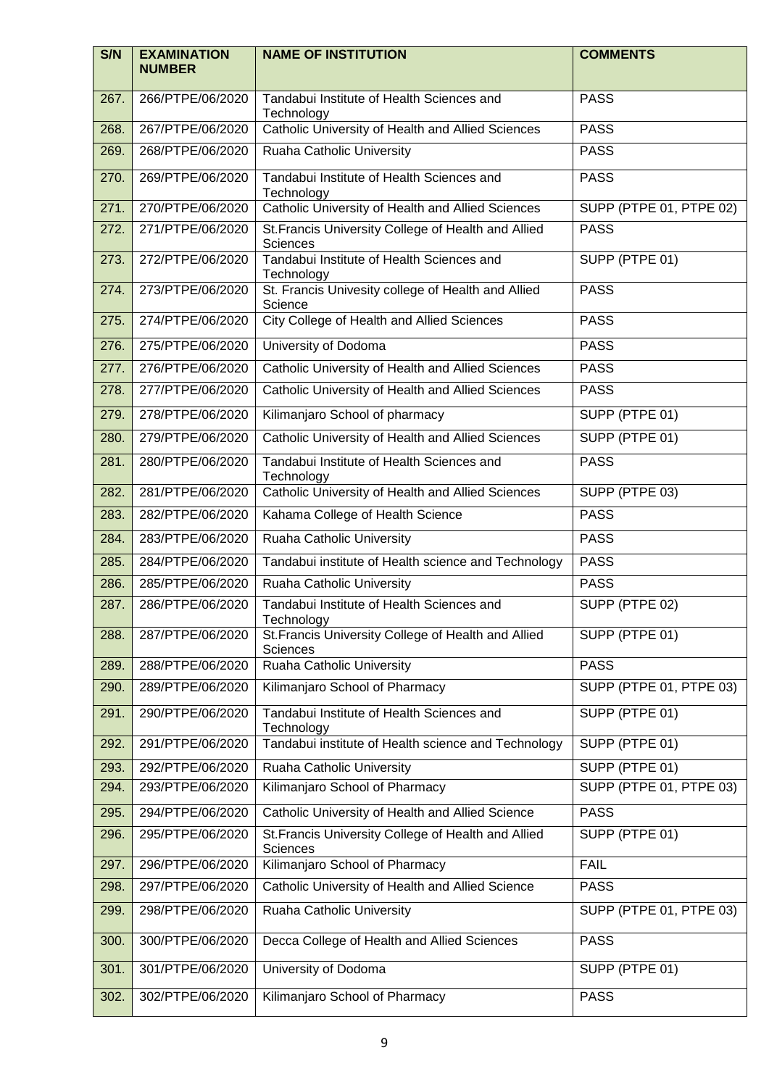| S/N  | <b>EXAMINATION</b><br><b>NUMBER</b> | <b>NAME OF INSTITUTION</b>                                      | <b>COMMENTS</b>         |
|------|-------------------------------------|-----------------------------------------------------------------|-------------------------|
| 267. | 266/PTPE/06/2020                    | Tandabui Institute of Health Sciences and<br>Technology         | <b>PASS</b>             |
| 268. | 267/PTPE/06/2020                    | Catholic University of Health and Allied Sciences               | <b>PASS</b>             |
| 269. | 268/PTPE/06/2020                    | Ruaha Catholic University                                       | <b>PASS</b>             |
| 270. | 269/PTPE/06/2020                    | Tandabui Institute of Health Sciences and<br>Technology         | <b>PASS</b>             |
| 271. | 270/PTPE/06/2020                    | Catholic University of Health and Allied Sciences               | SUPP (PTPE 01, PTPE 02) |
| 272. | 271/PTPE/06/2020                    | St. Francis University College of Health and Allied<br>Sciences | <b>PASS</b>             |
| 273. | 272/PTPE/06/2020                    | Tandabui Institute of Health Sciences and<br>Technology         | SUPP (PTPE 01)          |
| 274. | 273/PTPE/06/2020                    | St. Francis Univesity college of Health and Allied<br>Science   | <b>PASS</b>             |
| 275. | 274/PTPE/06/2020                    | <b>City College of Health and Allied Sciences</b>               | <b>PASS</b>             |
| 276. | 275/PTPE/06/2020                    | University of Dodoma                                            | <b>PASS</b>             |
| 277. | 276/PTPE/06/2020                    | Catholic University of Health and Allied Sciences               | <b>PASS</b>             |
| 278. | 277/PTPE/06/2020                    | Catholic University of Health and Allied Sciences               | <b>PASS</b>             |
| 279. | 278/PTPE/06/2020                    | Kilimanjaro School of pharmacy                                  | SUPP (PTPE 01)          |
| 280. | 279/PTPE/06/2020                    | Catholic University of Health and Allied Sciences               | SUPP (PTPE 01)          |
| 281. | 280/PTPE/06/2020                    | Tandabui Institute of Health Sciences and<br>Technology         | <b>PASS</b>             |
| 282. | 281/PTPE/06/2020                    | Catholic University of Health and Allied Sciences               | SUPP (PTPE 03)          |
| 283. | 282/PTPE/06/2020                    | Kahama College of Health Science                                | <b>PASS</b>             |
| 284. | 283/PTPE/06/2020                    | Ruaha Catholic University                                       | <b>PASS</b>             |
| 285. | 284/PTPE/06/2020                    | Tandabui institute of Health science and Technology             | <b>PASS</b>             |
| 286. | 285/PTPE/06/2020                    | Ruaha Catholic University                                       | <b>PASS</b>             |
| 287. | 286/PTPE/06/2020                    | Tandabui Institute of Health Sciences and<br>Technology         | SUPP (PTPE 02)          |
| 288. | 287/PTPE/06/2020                    | St. Francis University College of Health and Allied<br>Sciences | SUPP (PTPE 01)          |
| 289. | 288/PTPE/06/2020                    | Ruaha Catholic University                                       | <b>PASS</b>             |
| 290. | 289/PTPE/06/2020                    | Kilimanjaro School of Pharmacy                                  | SUPP (PTPE 01, PTPE 03) |
| 291. | 290/PTPE/06/2020                    | Tandabui Institute of Health Sciences and<br>Technology         | SUPP (PTPE 01)          |
| 292. | 291/PTPE/06/2020                    | Tandabui institute of Health science and Technology             | SUPP (PTPE 01)          |
| 293. | 292/PTPE/06/2020                    | Ruaha Catholic University                                       | SUPP (PTPE 01)          |
| 294. | 293/PTPE/06/2020                    | Kilimanjaro School of Pharmacy                                  | SUPP (PTPE 01, PTPE 03) |
| 295. | 294/PTPE/06/2020                    | Catholic University of Health and Allied Science                | <b>PASS</b>             |
| 296. | 295/PTPE/06/2020                    | St. Francis University College of Health and Allied<br>Sciences | SUPP (PTPE 01)          |
| 297. | 296/PTPE/06/2020                    | Kilimanjaro School of Pharmacy                                  | <b>FAIL</b>             |
| 298. | 297/PTPE/06/2020                    | Catholic University of Health and Allied Science                | <b>PASS</b>             |
| 299. | 298/PTPE/06/2020                    | Ruaha Catholic University                                       | SUPP (PTPE 01, PTPE 03) |
| 300. | 300/PTPE/06/2020                    | Decca College of Health and Allied Sciences                     | <b>PASS</b>             |
| 301. | 301/PTPE/06/2020                    | University of Dodoma                                            | SUPP (PTPE 01)          |
| 302. | 302/PTPE/06/2020                    | Kilimanjaro School of Pharmacy                                  | <b>PASS</b>             |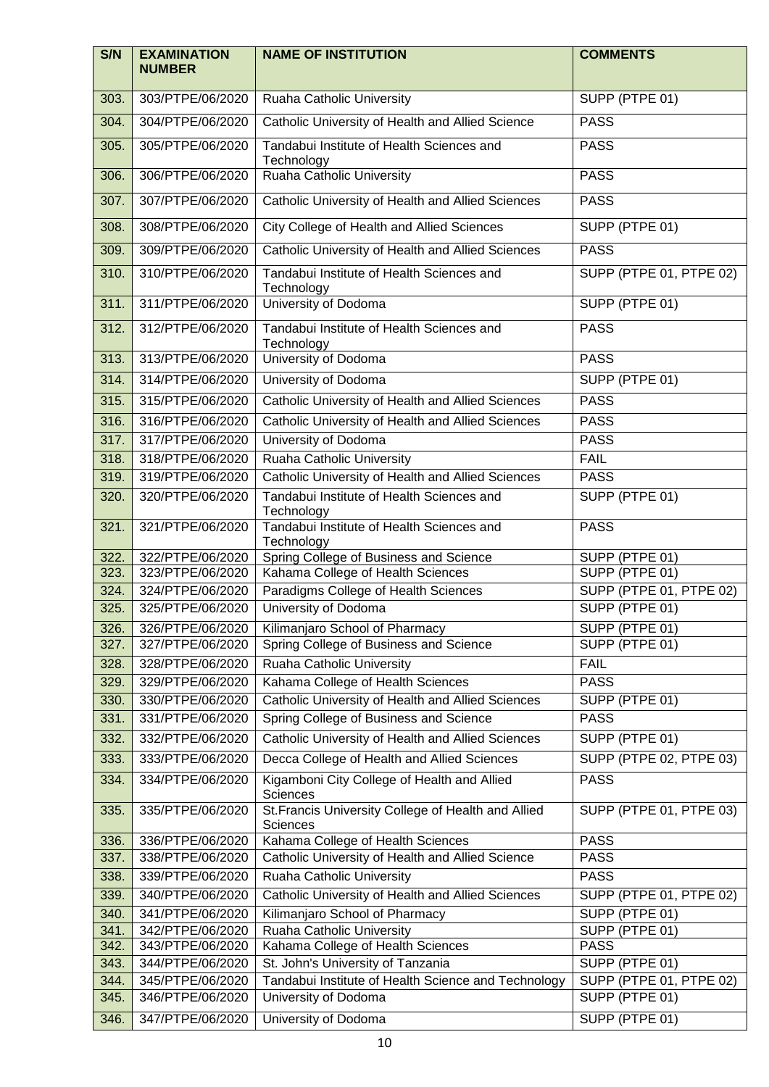| S/N          | <b>EXAMINATION</b><br><b>NUMBER</b>  | <b>NAME OF INSTITUTION</b>                                                                  | <b>COMMENTS</b>                        |
|--------------|--------------------------------------|---------------------------------------------------------------------------------------------|----------------------------------------|
| 303.         | 303/PTPE/06/2020                     | Ruaha Catholic University                                                                   | SUPP (PTPE 01)                         |
| 304.         | 304/PTPE/06/2020                     | Catholic University of Health and Allied Science                                            | <b>PASS</b>                            |
| 305.         | 305/PTPE/06/2020                     | Tandabui Institute of Health Sciences and<br>Technology                                     | <b>PASS</b>                            |
| 306.         | 306/PTPE/06/2020                     | <b>Ruaha Catholic University</b>                                                            | <b>PASS</b>                            |
| 307.         | 307/PTPE/06/2020                     | Catholic University of Health and Allied Sciences                                           | <b>PASS</b>                            |
| 308.         | 308/PTPE/06/2020                     | City College of Health and Allied Sciences                                                  | SUPP (PTPE 01)                         |
| 309.         | 309/PTPE/06/2020                     | Catholic University of Health and Allied Sciences                                           | <b>PASS</b>                            |
| 310.         | 310/PTPE/06/2020                     | Tandabui Institute of Health Sciences and<br>Technology                                     | SUPP (PTPE 01, PTPE 02)                |
| 311.         | 311/PTPE/06/2020                     | University of Dodoma                                                                        | SUPP (PTPE 01)                         |
| 312.         | 312/PTPE/06/2020                     | Tandabui Institute of Health Sciences and<br>Technology                                     | <b>PASS</b>                            |
| 313.         | 313/PTPE/06/2020                     | University of Dodoma                                                                        | <b>PASS</b>                            |
| 314.         | 314/PTPE/06/2020                     | University of Dodoma                                                                        | SUPP (PTPE 01)                         |
| 315.         | 315/PTPE/06/2020                     | Catholic University of Health and Allied Sciences                                           | <b>PASS</b>                            |
| 316.         | 316/PTPE/06/2020                     | Catholic University of Health and Allied Sciences                                           | <b>PASS</b>                            |
| 317.         | 317/PTPE/06/2020                     | University of Dodoma                                                                        | <b>PASS</b>                            |
| 318.         | 318/PTPE/06/2020                     | Ruaha Catholic University                                                                   | <b>FAIL</b>                            |
| 319.         | 319/PTPE/06/2020                     | Catholic University of Health and Allied Sciences                                           | <b>PASS</b>                            |
| 320.         | 320/PTPE/06/2020                     | Tandabui Institute of Health Sciences and<br>Technology                                     | SUPP (PTPE 01)                         |
| 321.         | 321/PTPE/06/2020                     | Tandabui Institute of Health Sciences and<br>Technology                                     | <b>PASS</b>                            |
| 322.         | 322/PTPE/06/2020                     | Spring College of Business and Science                                                      | SUPP (PTPE 01)                         |
| 323.         | 323/PTPE/06/2020                     | Kahama College of Health Sciences                                                           | SUPP (PTPE 01)                         |
| 324.         | 324/PTPE/06/2020                     | Paradigms College of Health Sciences                                                        | SUPP (PTPE 01, PTPE 02)                |
| 325.         | 325/PTPE/06/2020                     | University of Dodoma                                                                        | SUPP (PTPE 01)                         |
| 326.         | 326/PTPE/06/2020                     | Kilimanjaro School of Pharmacy                                                              | SUPP (PTPE 01)                         |
| 327.         | 327/PTPE/06/2020                     | Spring College of Business and Science                                                      | SUPP (PTPE 01)                         |
| 328.         | 328/PTPE/06/2020                     | Ruaha Catholic University                                                                   | <b>FAIL</b>                            |
| 329.         | 329/PTPE/06/2020                     | Kahama College of Health Sciences                                                           | <b>PASS</b>                            |
| 330.<br>331. | 330/PTPE/06/2020<br>331/PTPE/06/2020 | Catholic University of Health and Allied Sciences<br>Spring College of Business and Science | SUPP (PTPE 01)<br><b>PASS</b>          |
|              |                                      | Catholic University of Health and Allied Sciences                                           |                                        |
| 332.         | 332/PTPE/06/2020                     |                                                                                             | SUPP (PTPE 01)                         |
| 333.<br>334. | 333/PTPE/06/2020<br>334/PTPE/06/2020 | Decca College of Health and Allied Sciences<br>Kigamboni City College of Health and Allied  | SUPP (PTPE 02, PTPE 03)<br><b>PASS</b> |
| 335.         | 335/PTPE/06/2020                     | Sciences<br>St. Francis University College of Health and Allied                             | SUPP (PTPE 01, PTPE 03)                |
| 336.         | 336/PTPE/06/2020                     | Sciences<br>Kahama College of Health Sciences                                               | <b>PASS</b>                            |
| 337.         | 338/PTPE/06/2020                     | Catholic University of Health and Allied Science                                            | <b>PASS</b>                            |
| 338.         | 339/PTPE/06/2020                     | Ruaha Catholic University                                                                   | <b>PASS</b>                            |
| 339.         | 340/PTPE/06/2020                     | Catholic University of Health and Allied Sciences                                           | SUPP (PTPE 01, PTPE 02)                |
| 340.         | 341/PTPE/06/2020                     | Kilimanjaro School of Pharmacy                                                              | SUPP (PTPE 01)                         |
| 341.         | 342/PTPE/06/2020                     | Ruaha Catholic University                                                                   | SUPP (PTPE 01)                         |
| 342.         | 343/PTPE/06/2020                     | Kahama College of Health Sciences                                                           | <b>PASS</b>                            |
| 343.         | 344/PTPE/06/2020                     | St. John's University of Tanzania                                                           | SUPP (PTPE 01)                         |
| 344.         | 345/PTPE/06/2020                     | Tandabui Institute of Health Science and Technology                                         | SUPP (PTPE 01, PTPE 02)                |
| 345.         | 346/PTPE/06/2020                     | University of Dodoma                                                                        | SUPP (PTPE 01)                         |
| 346.         | 347/PTPE/06/2020                     | University of Dodoma                                                                        | SUPP (PTPE 01)                         |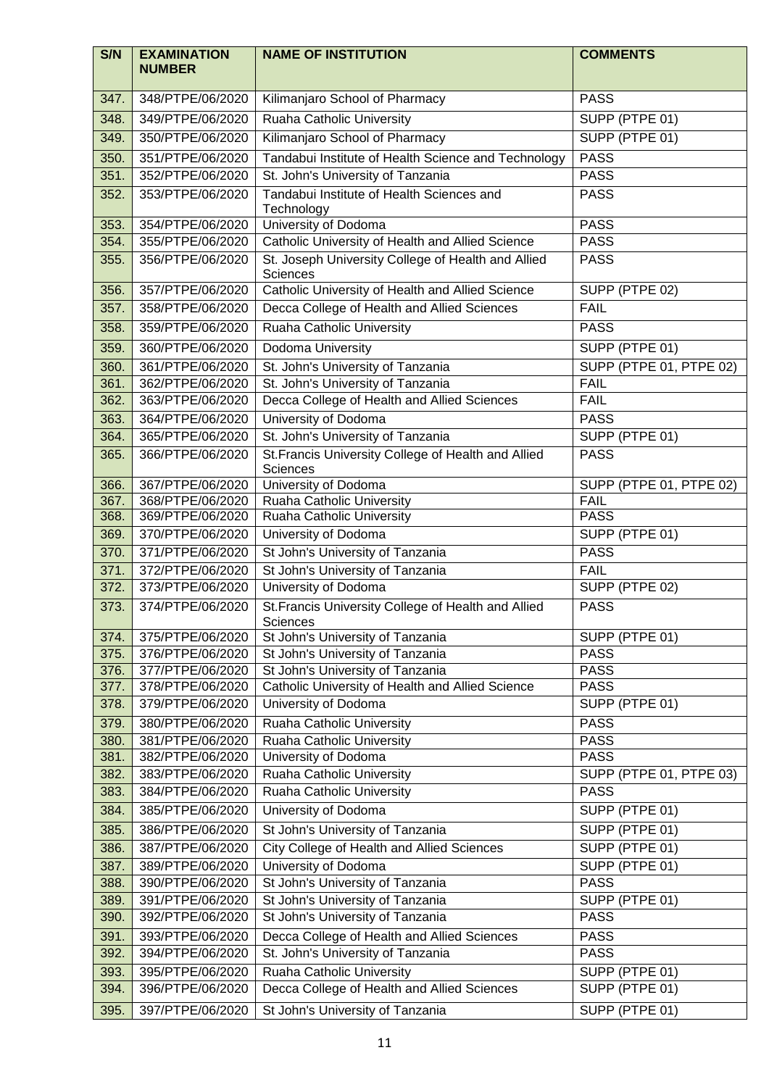| S/N          | <b>EXAMINATION</b><br><b>NUMBER</b>  | <b>NAME OF INSTITUTION</b>                                      | <b>COMMENTS</b>                        |
|--------------|--------------------------------------|-----------------------------------------------------------------|----------------------------------------|
| 347.         | 348/PTPE/06/2020                     | Kilimanjaro School of Pharmacy                                  | <b>PASS</b>                            |
| 348.         | 349/PTPE/06/2020                     | Ruaha Catholic University                                       | SUPP (PTPE 01)                         |
| 349.         | 350/PTPE/06/2020                     | Kilimanjaro School of Pharmacy                                  | SUPP (PTPE 01)                         |
| 350.         | 351/PTPE/06/2020                     | Tandabui Institute of Health Science and Technology             | <b>PASS</b>                            |
| 351.         | 352/PTPE/06/2020                     | St. John's University of Tanzania                               | <b>PASS</b>                            |
| 352.         | 353/PTPE/06/2020                     | Tandabui Institute of Health Sciences and<br>Technology         | <b>PASS</b>                            |
| 353.         | 354/PTPE/06/2020                     | University of Dodoma                                            | <b>PASS</b>                            |
| 354.         | 355/PTPE/06/2020                     | Catholic University of Health and Allied Science                | <b>PASS</b>                            |
| 355.         | 356/PTPE/06/2020                     | St. Joseph University College of Health and Allied<br>Sciences  | <b>PASS</b>                            |
| 356.         | 357/PTPE/06/2020                     | Catholic University of Health and Allied Science                | SUPP (PTPE 02)                         |
| 357.         | 358/PTPE/06/2020                     | Decca College of Health and Allied Sciences                     | <b>FAIL</b>                            |
| 358.         | 359/PTPE/06/2020                     | Ruaha Catholic University                                       | <b>PASS</b>                            |
| 359.         | 360/PTPE/06/2020                     | Dodoma University                                               | SUPP (PTPE 01)                         |
| 360.         | 361/PTPE/06/2020                     | St. John's University of Tanzania                               | SUPP (PTPE 01, PTPE 02)                |
| 361.         | 362/PTPE/06/2020                     | St. John's University of Tanzania                               | <b>FAIL</b>                            |
| 362.         | 363/PTPE/06/2020                     | Decca College of Health and Allied Sciences                     | <b>FAIL</b>                            |
| 363.         | 364/PTPE/06/2020                     | University of Dodoma                                            | <b>PASS</b>                            |
| 364.         | 365/PTPE/06/2020                     | St. John's University of Tanzania                               | SUPP (PTPE 01)                         |
| 365.         | 366/PTPE/06/2020                     | St. Francis University College of Health and Allied<br>Sciences | <b>PASS</b>                            |
| 366.         | 367/PTPE/06/2020                     | University of Dodoma                                            | SUPP (PTPE 01, PTPE 02)                |
| 367.<br>368. | 368/PTPE/06/2020<br>369/PTPE/06/2020 | Ruaha Catholic University                                       | <b>FAIL</b><br><b>PASS</b>             |
| 369.         | 370/PTPE/06/2020                     | Ruaha Catholic University<br>University of Dodoma               | SUPP (PTPE 01)                         |
| 370.         | 371/PTPE/06/2020                     | St John's University of Tanzania                                | <b>PASS</b>                            |
| 371.         | 372/PTPE/06/2020                     | St John's University of Tanzania                                | <b>FAIL</b>                            |
| 372.         | 373/PTPE/06/2020                     | University of Dodoma                                            | SUPP (PTPE 02)                         |
| 373.         | 374/PTPE/06/2020                     | St. Francis University College of Health and Allied<br>Sciences | <b>PASS</b>                            |
| 374.         | 375/PTPE/06/2020                     | St John's University of Tanzania                                | SUPP (PTPE 01)                         |
| 375.         | 376/PTPE/06/2020                     | St John's University of Tanzania                                | <b>PASS</b>                            |
| 376.         | 377/PTPE/06/2020                     | St John's University of Tanzania                                | <b>PASS</b>                            |
| 377.         | 378/PTPE/06/2020                     | Catholic University of Health and Allied Science                | <b>PASS</b>                            |
| 378.         | 379/PTPE/06/2020                     | University of Dodoma                                            | SUPP (PTPE 01)                         |
| 379.         | 380/PTPE/06/2020                     | Ruaha Catholic University                                       | <b>PASS</b>                            |
| 380.         | 381/PTPE/06/2020<br>382/PTPE/06/2020 | Ruaha Catholic University                                       | <b>PASS</b>                            |
| 381.<br>382. | 383/PTPE/06/2020                     | University of Dodoma<br>Ruaha Catholic University               | <b>PASS</b><br>SUPP (PTPE 01, PTPE 03) |
| 383.         | 384/PTPE/06/2020                     | Ruaha Catholic University                                       | <b>PASS</b>                            |
| 384.         | 385/PTPE/06/2020                     | University of Dodoma                                            | SUPP (PTPE 01)                         |
| 385.         | 386/PTPE/06/2020                     | St John's University of Tanzania                                | SUPP (PTPE 01)                         |
| 386.         | 387/PTPE/06/2020                     | City College of Health and Allied Sciences                      | SUPP (PTPE 01)                         |
| 387.         | 389/PTPE/06/2020                     | University of Dodoma                                            | SUPP (PTPE 01)                         |
| 388.         | 390/PTPE/06/2020                     | St John's University of Tanzania                                | <b>PASS</b>                            |
| 389.         | 391/PTPE/06/2020                     | St John's University of Tanzania                                | SUPP (PTPE 01)                         |
| 390.         | 392/PTPE/06/2020                     | St John's University of Tanzania                                | <b>PASS</b>                            |
| 391.         | 393/PTPE/06/2020                     | Decca College of Health and Allied Sciences                     | <b>PASS</b>                            |
| 392.         | 394/PTPE/06/2020                     | St. John's University of Tanzania                               | <b>PASS</b>                            |
| 393.         | 395/PTPE/06/2020                     | Ruaha Catholic University                                       | SUPP (PTPE 01)                         |
| 394.         | 396/PTPE/06/2020                     | Decca College of Health and Allied Sciences                     | SUPP (PTPE 01)                         |
| 395.         | 397/PTPE/06/2020                     | St John's University of Tanzania                                | SUPP (PTPE 01)                         |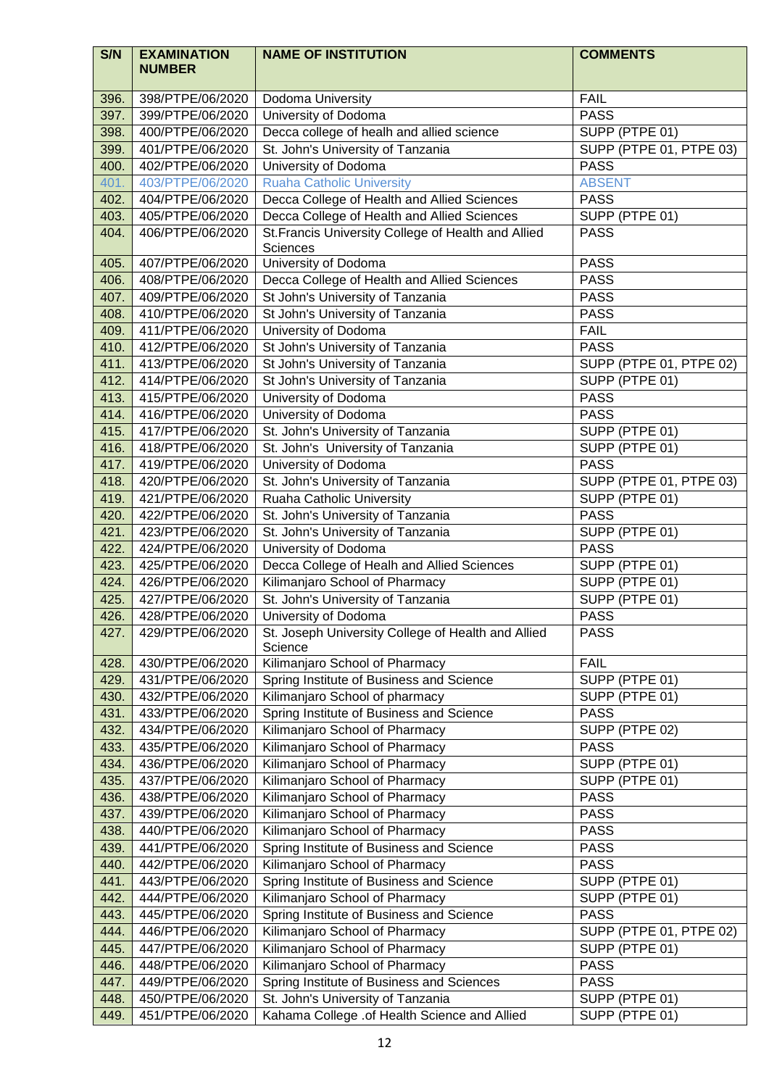| S/N  | <b>EXAMINATION</b><br><b>NUMBER</b> | <b>NAME OF INSTITUTION</b>                                    | <b>COMMENTS</b>         |
|------|-------------------------------------|---------------------------------------------------------------|-------------------------|
| 396. | 398/PTPE/06/2020                    | Dodoma University                                             | <b>FAIL</b>             |
| 397. | 399/PTPE/06/2020                    | University of Dodoma                                          | <b>PASS</b>             |
| 398. | 400/PTPE/06/2020                    | Decca college of healh and allied science                     | SUPP (PTPE 01)          |
| 399. | 401/PTPE/06/2020                    | St. John's University of Tanzania                             | SUPP (PTPE 01, PTPE 03) |
| 400. | 402/PTPE/06/2020                    | University of Dodoma                                          | <b>PASS</b>             |
| 401. | 403/PTPE/06/2020                    | <b>Ruaha Catholic University</b>                              | <b>ABSENT</b>           |
| 402. | 404/PTPE/06/2020                    | Decca College of Health and Allied Sciences                   | <b>PASS</b>             |
| 403. | 405/PTPE/06/2020                    | Decca College of Health and Allied Sciences                   | SUPP (PTPE 01)          |
| 404. | 406/PTPE/06/2020                    | St. Francis University College of Health and Allied           | <b>PASS</b>             |
|      |                                     | Sciences                                                      |                         |
| 405. | 407/PTPE/06/2020                    | University of Dodoma                                          | <b>PASS</b>             |
| 406. | 408/PTPE/06/2020                    | Decca College of Health and Allied Sciences                   | <b>PASS</b>             |
| 407. | 409/PTPE/06/2020                    | St John's University of Tanzania                              | <b>PASS</b>             |
| 408. | 410/PTPE/06/2020                    | St John's University of Tanzania                              | <b>PASS</b>             |
| 409. | 411/PTPE/06/2020                    | University of Dodoma                                          | <b>FAIL</b>             |
| 410. | 412/PTPE/06/2020                    | St John's University of Tanzania                              | <b>PASS</b>             |
| 411. | 413/PTPE/06/2020                    | St John's University of Tanzania                              | SUPP (PTPE 01, PTPE 02) |
| 412. | 414/PTPE/06/2020                    | St John's University of Tanzania                              | SUPP (PTPE 01)          |
| 413. | 415/PTPE/06/2020                    | University of Dodoma                                          | <b>PASS</b>             |
| 414. | 416/PTPE/06/2020                    | University of Dodoma                                          | <b>PASS</b>             |
| 415. | 417/PTPE/06/2020                    | St. John's University of Tanzania                             | SUPP (PTPE 01)          |
| 416. | 418/PTPE/06/2020                    | St. John's University of Tanzania                             | SUPP (PTPE 01)          |
| 417. | 419/PTPE/06/2020                    | University of Dodoma                                          | <b>PASS</b>             |
| 418. | 420/PTPE/06/2020                    | St. John's University of Tanzania                             | SUPP (PTPE 01, PTPE 03) |
| 419. | 421/PTPE/06/2020                    | Ruaha Catholic University                                     | SUPP (PTPE 01)          |
| 420. | 422/PTPE/06/2020                    | St. John's University of Tanzania                             | <b>PASS</b>             |
| 421. | 423/PTPE/06/2020                    | St. John's University of Tanzania                             | SUPP (PTPE 01)          |
| 422. | 424/PTPE/06/2020                    | University of Dodoma                                          | <b>PASS</b>             |
| 423. | 425/PTPE/06/2020                    | Decca College of Healh and Allied Sciences                    | SUPP (PTPE 01)          |
| 424. | 426/PTPE/06/2020                    | Kilimanjaro School of Pharmacy                                | SUPP (PTPE 01)          |
| 425. | 427/PTPE/06/2020                    | St. John's University of Tanzania                             | SUPP (PTPE 01)          |
| 426. | 428/PTPE/06/2020                    | University of Dodoma                                          | <b>PASS</b>             |
| 427. | 429/PTPE/06/2020                    | St. Joseph University College of Health and Allied<br>Science | <b>PASS</b>             |
| 428. | 430/PTPE/06/2020                    | Kilimanjaro School of Pharmacy                                | <b>FAIL</b>             |
| 429. | 431/PTPE/06/2020                    | Spring Institute of Business and Science                      | SUPP (PTPE 01)          |
| 430. | 432/PTPE/06/2020                    | Kilimanjaro School of pharmacy                                | SUPP (PTPE 01)          |
| 431. | 433/PTPE/06/2020                    | Spring Institute of Business and Science                      | <b>PASS</b>             |
| 432. | 434/PTPE/06/2020                    | Kilimanjaro School of Pharmacy                                | SUPP (PTPE 02)          |
| 433. | 435/PTPE/06/2020                    | Kilimanjaro School of Pharmacy                                | <b>PASS</b>             |
| 434. | 436/PTPE/06/2020                    | Kilimanjaro School of Pharmacy                                | SUPP (PTPE 01)          |
| 435. | 437/PTPE/06/2020                    | Kilimanjaro School of Pharmacy                                | SUPP (PTPE 01)          |
| 436. | 438/PTPE/06/2020                    | Kilimanjaro School of Pharmacy                                | <b>PASS</b>             |
| 437. | 439/PTPE/06/2020                    | Kilimanjaro School of Pharmacy                                | <b>PASS</b>             |
| 438. | 440/PTPE/06/2020                    | Kilimanjaro School of Pharmacy                                | <b>PASS</b>             |
| 439. | 441/PTPE/06/2020                    | Spring Institute of Business and Science                      | <b>PASS</b>             |
| 440. | 442/PTPE/06/2020                    | Kilimanjaro School of Pharmacy                                | <b>PASS</b>             |
| 441. | 443/PTPE/06/2020                    | Spring Institute of Business and Science                      | SUPP (PTPE 01)          |
| 442. | 444/PTPE/06/2020                    | Kilimanjaro School of Pharmacy                                | SUPP (PTPE 01)          |
| 443. | 445/PTPE/06/2020                    | Spring Institute of Business and Science                      | <b>PASS</b>             |
| 444. | 446/PTPE/06/2020                    | Kilimanjaro School of Pharmacy                                | SUPP (PTPE 01, PTPE 02) |
| 445. | 447/PTPE/06/2020                    | Kilimanjaro School of Pharmacy                                | SUPP (PTPE 01)          |
| 446. | 448/PTPE/06/2020                    | Kilimanjaro School of Pharmacy                                | <b>PASS</b>             |
| 447. | 449/PTPE/06/2020                    | Spring Institute of Business and Sciences                     | <b>PASS</b>             |
| 448. | 450/PTPE/06/2020                    | St. John's University of Tanzania                             | SUPP (PTPE 01)          |
| 449. | 451/PTPE/06/2020                    | Kahama College .of Health Science and Allied                  | SUPP (PTPE 01)          |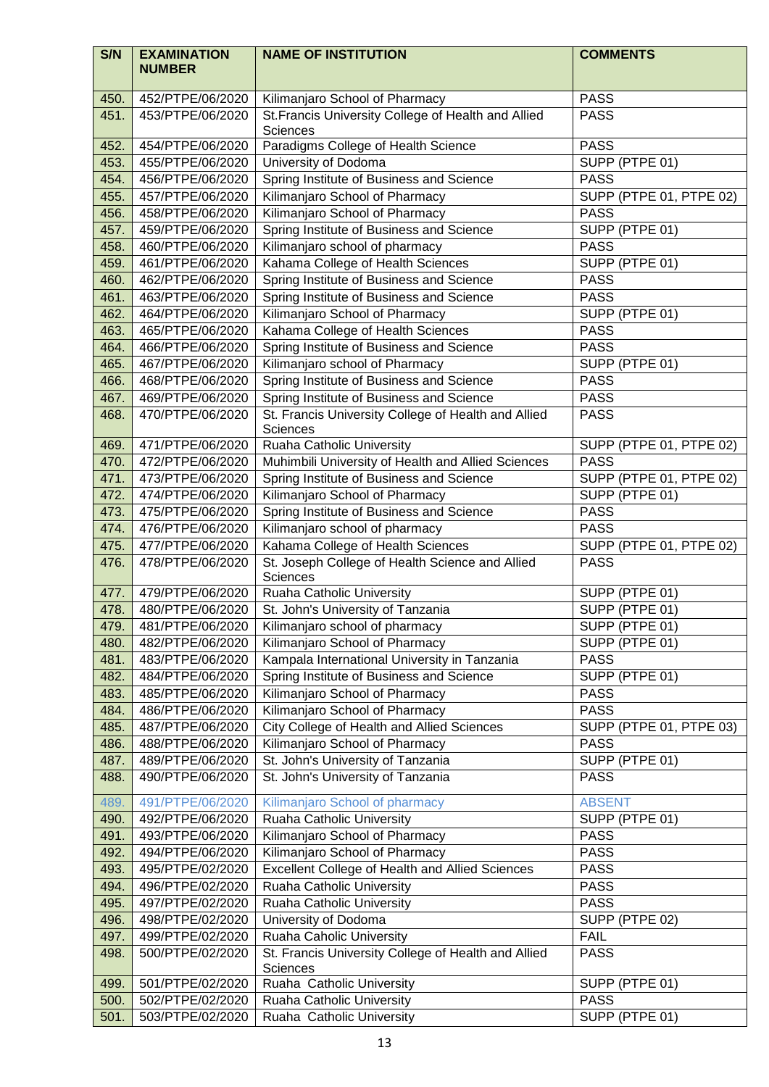| S/N          | <b>EXAMINATION</b><br><b>NUMBER</b>  | <b>NAME OF INSTITUTION</b>                                       | <b>COMMENTS</b>                        |
|--------------|--------------------------------------|------------------------------------------------------------------|----------------------------------------|
|              |                                      |                                                                  |                                        |
| 450.         | 452/PTPE/06/2020                     | Kilimanjaro School of Pharmacy                                   | <b>PASS</b>                            |
| 451.         | 453/PTPE/06/2020                     | St. Francis University College of Health and Allied<br>Sciences  | <b>PASS</b>                            |
| 452.         | 454/PTPE/06/2020                     | Paradigms College of Health Science                              | <b>PASS</b>                            |
| 453.         | 455/PTPE/06/2020                     | University of Dodoma                                             | SUPP (PTPE 01)                         |
| 454.         | 456/PTPE/06/2020                     | Spring Institute of Business and Science                         | <b>PASS</b>                            |
| 455.         | 457/PTPE/06/2020                     | Kilimanjaro School of Pharmacy                                   | SUPP (PTPE 01, PTPE 02)                |
| 456.         | 458/PTPE/06/2020                     | Kilimanjaro School of Pharmacy                                   | <b>PASS</b>                            |
| 457.         | 459/PTPE/06/2020                     | Spring Institute of Business and Science                         | SUPP (PTPE 01)                         |
| 458.         | 460/PTPE/06/2020                     | Kilimanjaro school of pharmacy                                   | <b>PASS</b>                            |
| 459.         | 461/PTPE/06/2020                     | Kahama College of Health Sciences                                | SUPP (PTPE 01)                         |
| 460.         | 462/PTPE/06/2020                     | Spring Institute of Business and Science                         | <b>PASS</b>                            |
| 461.         | 463/PTPE/06/2020                     | Spring Institute of Business and Science                         | <b>PASS</b>                            |
| 462.         | 464/PTPE/06/2020                     | Kilimanjaro School of Pharmacy                                   | SUPP (PTPE 01)                         |
| 463.         | 465/PTPE/06/2020                     | Kahama College of Health Sciences                                | <b>PASS</b>                            |
| 464.         | 466/PTPE/06/2020                     | Spring Institute of Business and Science                         | <b>PASS</b>                            |
| 465.         | 467/PTPE/06/2020                     | Kilimanjaro school of Pharmacy                                   | SUPP (PTPE 01)                         |
| 466.         | 468/PTPE/06/2020                     | Spring Institute of Business and Science                         | <b>PASS</b>                            |
| 467.         | 469/PTPE/06/2020                     | Spring Institute of Business and Science                         | <b>PASS</b>                            |
| 468.         | 470/PTPE/06/2020                     | St. Francis University College of Health and Allied<br>Sciences  | <b>PASS</b>                            |
| 469.         | 471/PTPE/06/2020                     | Ruaha Catholic University                                        | SUPP (PTPE 01, PTPE 02)                |
| 470.         | 472/PTPE/06/2020                     | Muhimbili University of Health and Allied Sciences               | <b>PASS</b>                            |
| 471.         | 473/PTPE/06/2020                     | Spring Institute of Business and Science                         | SUPP (PTPE 01, PTPE 02)                |
| 472.         | 474/PTPE/06/2020                     | Kilimanjaro School of Pharmacy                                   | SUPP (PTPE 01)                         |
| 473.         | 475/PTPE/06/2020                     | Spring Institute of Business and Science                         | <b>PASS</b>                            |
| 474.         | 476/PTPE/06/2020                     | Kilimanjaro school of pharmacy                                   | <b>PASS</b>                            |
| 475.         | 477/PTPE/06/2020                     | Kahama College of Health Sciences                                | SUPP (PTPE 01, PTPE 02)                |
| 476.         | 478/PTPE/06/2020                     | St. Joseph College of Health Science and Allied<br>Sciences      | <b>PASS</b>                            |
| 477.         | 479/PTPE/06/2020                     | Ruaha Catholic University                                        | SUPP (PTPE 01)                         |
| 478.         | 480/PTPE/06/2020                     | St. John's University of Tanzania                                | SUPP (PTPE 01)                         |
| 479.         | 481/PTPE/06/2020                     | Kilimanjaro school of pharmacy                                   | SUPP (PTPE 01)                         |
| 480.         | 482/PTPE/06/2020                     | Kilimanjaro School of Pharmacy                                   | SUPP (PTPE 01)                         |
| 481.         | 483/PTPE/06/2020                     | Kampala International University in Tanzania                     | <b>PASS</b>                            |
| 482.         | 484/PTPE/06/2020                     | Spring Institute of Business and Science                         | SUPP (PTPE 01)                         |
| 483.         | 485/PTPE/06/2020                     | Kilimanjaro School of Pharmacy<br>Kilimanjaro School of Pharmacy | <b>PASS</b>                            |
| 484.<br>485. | 486/PTPE/06/2020<br>487/PTPE/06/2020 | <b>City College of Health and Allied Sciences</b>                | <b>PASS</b><br>SUPP (PTPE 01, PTPE 03) |
| 486.         | 488/PTPE/06/2020                     | Kilimanjaro School of Pharmacy                                   | <b>PASS</b>                            |
| 487.         | 489/PTPE/06/2020                     | St. John's University of Tanzania                                | SUPP (PTPE 01)                         |
| 488.         | 490/PTPE/06/2020                     | St. John's University of Tanzania                                | <b>PASS</b>                            |
| 489.         | 491/PTPE/06/2020                     | Kilimanjaro School of pharmacy                                   | <b>ABSENT</b>                          |
| 490.         | 492/PTPE/06/2020                     | Ruaha Catholic University                                        | SUPP (PTPE 01)                         |
| 491.         | 493/PTPE/06/2020                     | Kilimanjaro School of Pharmacy                                   | <b>PASS</b>                            |
| 492.         | 494/PTPE/06/2020                     | Kilimanjaro School of Pharmacy                                   | <b>PASS</b>                            |
| 493.         | 495/PTPE/02/2020                     | Excellent College of Health and Allied Sciences                  | <b>PASS</b>                            |
| 494.         | 496/PTPE/02/2020                     | Ruaha Catholic University                                        | <b>PASS</b>                            |
| 495.         | 497/PTPE/02/2020                     | Ruaha Catholic University                                        | <b>PASS</b>                            |
| 496.         | 498/PTPE/02/2020                     | University of Dodoma                                             | SUPP (PTPE 02)                         |
| 497.         | 499/PTPE/02/2020                     | Ruaha Caholic University                                         | <b>FAIL</b>                            |
| 498.         | 500/PTPE/02/2020                     | St. Francis University College of Health and Allied<br>Sciences  | <b>PASS</b>                            |
| 499.         | 501/PTPE/02/2020                     | Ruaha Catholic University                                        | SUPP (PTPE 01)                         |
| 500.         | 502/PTPE/02/2020                     | Ruaha Catholic University                                        | <b>PASS</b>                            |
| 501.         | 503/PTPE/02/2020                     | Ruaha Catholic University                                        | SUPP (PTPE 01)                         |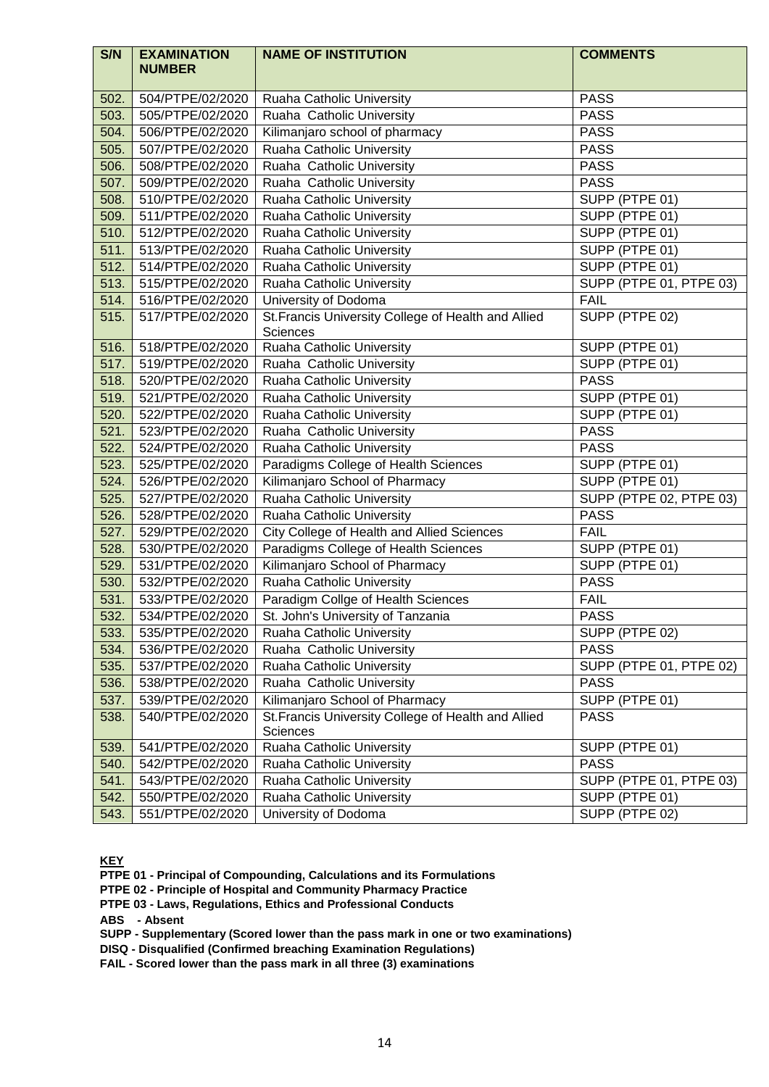| S/N  | <b>EXAMINATION</b><br><b>NUMBER</b> | <b>NAME OF INSTITUTION</b>                                             | <b>COMMENTS</b>         |
|------|-------------------------------------|------------------------------------------------------------------------|-------------------------|
| 502. | 504/PTPE/02/2020                    | Ruaha Catholic University                                              | <b>PASS</b>             |
| 503. | 505/PTPE/02/2020                    | Ruaha Catholic University                                              | <b>PASS</b>             |
| 504. | 506/PTPE/02/2020                    | Kilimanjaro school of pharmacy                                         | <b>PASS</b>             |
| 505. | 507/PTPE/02/2020                    | Ruaha Catholic University                                              | <b>PASS</b>             |
| 506. | 508/PTPE/02/2020                    | Ruaha Catholic University                                              | <b>PASS</b>             |
| 507. | 509/PTPE/02/2020                    | Ruaha Catholic University                                              | <b>PASS</b>             |
| 508. | 510/PTPE/02/2020                    | Ruaha Catholic University                                              | SUPP (PTPE 01)          |
| 509. | 511/PTPE/02/2020                    | Ruaha Catholic University                                              | SUPP (PTPE 01)          |
| 510. | 512/PTPE/02/2020                    | Ruaha Catholic University                                              | SUPP (PTPE 01)          |
| 511. | 513/PTPE/02/2020                    | Ruaha Catholic University                                              | SUPP (PTPE 01)          |
| 512. | 514/PTPE/02/2020                    | Ruaha Catholic University                                              | SUPP (PTPE 01)          |
| 513. | 515/PTPE/02/2020                    | Ruaha Catholic University                                              | SUPP (PTPE 01, PTPE 03) |
| 514. | 516/PTPE/02/2020                    | University of Dodoma                                                   | <b>FAIL</b>             |
| 515. | 517/PTPE/02/2020                    | St. Francis University College of Health and Allied<br><b>Sciences</b> | SUPP (PTPE 02)          |
| 516. | 518/PTPE/02/2020                    | Ruaha Catholic University                                              | SUPP (PTPE 01)          |
| 517. | 519/PTPE/02/2020                    | Ruaha Catholic University                                              | SUPP (PTPE 01)          |
| 518. | 520/PTPE/02/2020                    | Ruaha Catholic University                                              | <b>PASS</b>             |
| 519. | 521/PTPE/02/2020                    | Ruaha Catholic University                                              | SUPP (PTPE 01)          |
| 520. | 522/PTPE/02/2020                    | Ruaha Catholic University                                              | SUPP (PTPE 01)          |
| 521. | 523/PTPE/02/2020                    | Ruaha Catholic University                                              | <b>PASS</b>             |
| 522. | 524/PTPE/02/2020                    | Ruaha Catholic University                                              | <b>PASS</b>             |
| 523. | 525/PTPE/02/2020                    | Paradigms College of Health Sciences                                   | SUPP (PTPE 01)          |
| 524. | 526/PTPE/02/2020                    | Kilimanjaro School of Pharmacy                                         | SUPP (PTPE 01)          |
| 525. | 527/PTPE/02/2020                    | Ruaha Catholic University                                              | SUPP (PTPE 02, PTPE 03) |
| 526. | 528/PTPE/02/2020                    | Ruaha Catholic University                                              | <b>PASS</b>             |
| 527. | 529/PTPE/02/2020                    | <b>City College of Health and Allied Sciences</b>                      | <b>FAIL</b>             |
| 528. | 530/PTPE/02/2020                    | Paradigms College of Health Sciences                                   | SUPP (PTPE 01)          |
| 529. | 531/PTPE/02/2020                    | Kilimanjaro School of Pharmacy                                         | SUPP (PTPE 01)          |
| 530. | 532/PTPE/02/2020                    | Ruaha Catholic University                                              | <b>PASS</b>             |
| 531. | 533/PTPE/02/2020                    | Paradigm Collge of Health Sciences                                     | <b>FAIL</b>             |
| 532. | 534/PTPE/02/2020                    | St. John's University of Tanzania                                      | <b>PASS</b>             |
| 533. | 535/PTPE/02/2020                    | Ruaha Catholic University                                              | SUPP (PTPE 02)          |
| 534. | 536/PTPE/02/2020                    | Ruaha Catholic University                                              | <b>PASS</b>             |
| 535. | 537/PTPE/02/2020                    | Ruaha Catholic University                                              | SUPP (PTPE 01, PTPE 02) |
| 536. | 538/PTPE/02/2020                    | Ruaha Catholic University                                              | <b>PASS</b>             |
| 537. | 539/PTPE/02/2020                    | Kilimanjaro School of Pharmacy                                         | SUPP (PTPE 01)          |
| 538. | 540/PTPE/02/2020                    | St. Francis University College of Health and Allied<br>Sciences        | <b>PASS</b>             |
| 539. | 541/PTPE/02/2020                    | Ruaha Catholic University                                              | SUPP (PTPE 01)          |
| 540. | 542/PTPE/02/2020                    | Ruaha Catholic University                                              | <b>PASS</b>             |
| 541. | 543/PTPE/02/2020                    | Ruaha Catholic University                                              | SUPP (PTPE 01, PTPE 03) |
| 542. | 550/PTPE/02/2020                    | Ruaha Catholic University                                              | SUPP (PTPE 01)          |
| 543. | 551/PTPE/02/2020                    | University of Dodoma                                                   | SUPP (PTPE 02)          |

**KEY**

**PTPE 01 - Principal of Compounding, Calculations and its Formulations**

**PTPE 02 - Principle of Hospital and Community Pharmacy Practice**

**PTPE 03 - Laws, Regulations, Ethics and Professional Conducts**

**ABS - Absent**

**SUPP - Supplementary (Scored lower than the pass mark in one or two examinations)** 

**DISQ - Disqualified (Confirmed breaching Examination Regulations)**

**FAIL - Scored lower than the pass mark in all three (3) examinations**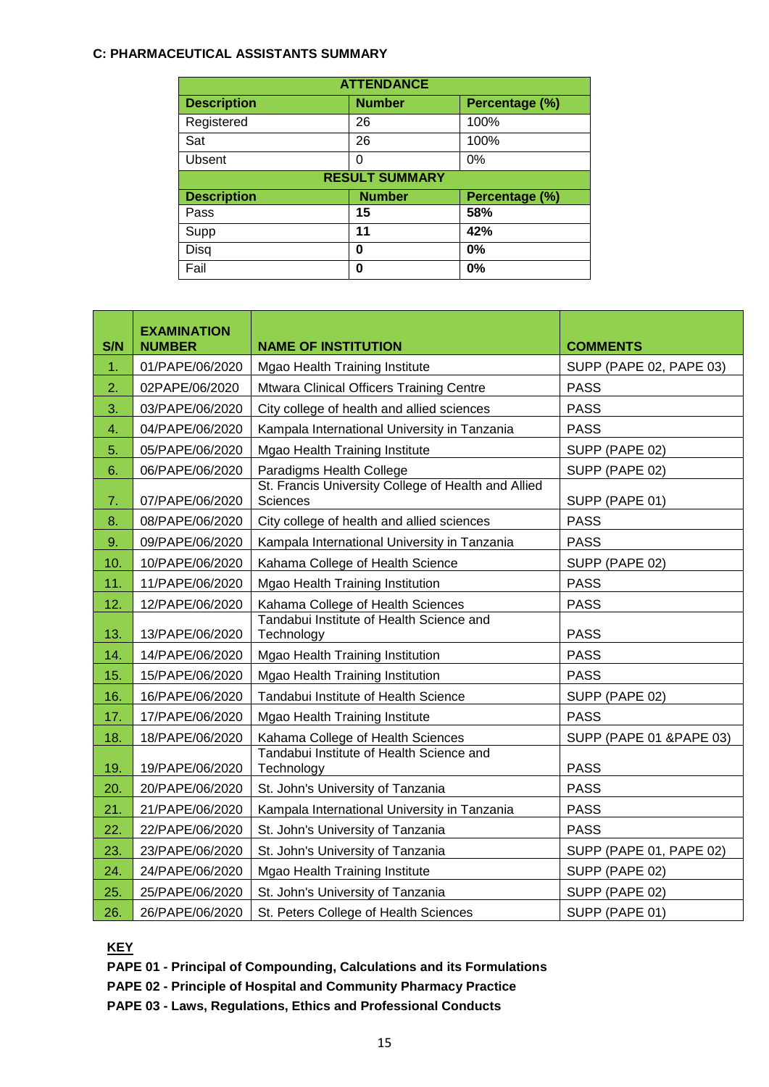### **C: PHARMACEUTICAL ASSISTANTS SUMMARY**

| <b>ATTENDANCE</b>                                     |               |                |  |  |  |
|-------------------------------------------------------|---------------|----------------|--|--|--|
| <b>Description</b><br>Percentage (%)<br><b>Number</b> |               |                |  |  |  |
| Registered                                            | 26            | 100%           |  |  |  |
| Sat                                                   | 26            | 100%           |  |  |  |
| Ubsent                                                | 0             | 0%             |  |  |  |
| <b>RESULT SUMMARY</b>                                 |               |                |  |  |  |
| <b>Description</b>                                    | <b>Number</b> | Percentage (%) |  |  |  |
| Pass                                                  | 15            | 58%            |  |  |  |
| Supp                                                  | 11            | 42%            |  |  |  |
| Disq                                                  | 0             | 0%             |  |  |  |
| Fail                                                  | 0             | 0%             |  |  |  |

| S/N | <b>EXAMINATION</b><br><b>NUMBER</b> | <b>NAME OF INSTITUTION</b>                                             | <b>COMMENTS</b>          |
|-----|-------------------------------------|------------------------------------------------------------------------|--------------------------|
| 1.  | 01/PAPE/06/2020                     | Mgao Health Training Institute                                         | SUPP (PAPE 02, PAPE 03)  |
| 2.  | 02PAPE/06/2020                      | Mtwara Clinical Officers Training Centre                               | <b>PASS</b>              |
| 3.  | 03/PAPE/06/2020                     | City college of health and allied sciences                             | <b>PASS</b>              |
| 4.  | 04/PAPE/06/2020                     | Kampala International University in Tanzania                           | <b>PASS</b>              |
| 5.  | 05/PAPE/06/2020                     | Mgao Health Training Institute                                         | SUPP (PAPE 02)           |
| 6.  | 06/PAPE/06/2020                     | Paradigms Health College                                               | SUPP (PAPE 02)           |
| 7.  | 07/PAPE/06/2020                     | St. Francis University College of Health and Allied<br><b>Sciences</b> | SUPP (PAPE 01)           |
| 8.  | 08/PAPE/06/2020                     | City college of health and allied sciences                             | <b>PASS</b>              |
| 9.  | 09/PAPE/06/2020                     | Kampala International University in Tanzania                           | <b>PASS</b>              |
| 10. | 10/PAPE/06/2020                     | Kahama College of Health Science                                       | SUPP (PAPE 02)           |
| 11. | 11/PAPE/06/2020                     | Mgao Health Training Institution                                       | <b>PASS</b>              |
| 12. | 12/PAPE/06/2020                     | Kahama College of Health Sciences                                      | <b>PASS</b>              |
| 13. | 13/PAPE/06/2020                     | Tandabui Institute of Health Science and<br>Technology                 | <b>PASS</b>              |
| 14. | 14/PAPE/06/2020                     | Mgao Health Training Institution                                       | <b>PASS</b>              |
| 15. | 15/PAPE/06/2020                     | Mgao Health Training Institution                                       | <b>PASS</b>              |
| 16. | 16/PAPE/06/2020                     | Tandabui Institute of Health Science                                   | SUPP (PAPE 02)           |
| 17. | 17/PAPE/06/2020                     | Mgao Health Training Institute                                         | <b>PASS</b>              |
| 18. | 18/PAPE/06/2020                     | Kahama College of Health Sciences                                      | SUPP (PAPE 01 & PAPE 03) |
| 19. | 19/PAPE/06/2020                     | Tandabui Institute of Health Science and<br>Technology                 | <b>PASS</b>              |
| 20. | 20/PAPE/06/2020                     | St. John's University of Tanzania                                      | <b>PASS</b>              |
| 21. | 21/PAPE/06/2020                     | Kampala International University in Tanzania                           | <b>PASS</b>              |
| 22. | 22/PAPE/06/2020                     | St. John's University of Tanzania                                      | <b>PASS</b>              |
| 23. | 23/PAPE/06/2020                     | St. John's University of Tanzania                                      | SUPP (PAPE 01, PAPE 02)  |
| 24. | 24/PAPE/06/2020                     | Mgao Health Training Institute                                         | SUPP (PAPE 02)           |
| 25. | 25/PAPE/06/2020                     | St. John's University of Tanzania                                      | SUPP (PAPE 02)           |
| 26. | 26/PAPE/06/2020                     | St. Peters College of Health Sciences                                  | SUPP (PAPE 01)           |

**KEY**

- **PAPE 01 - Principal of Compounding, Calculations and its Formulations**
- **PAPE 02 - Principle of Hospital and Community Pharmacy Practice**
- **PAPE 03 - Laws, Regulations, Ethics and Professional Conducts**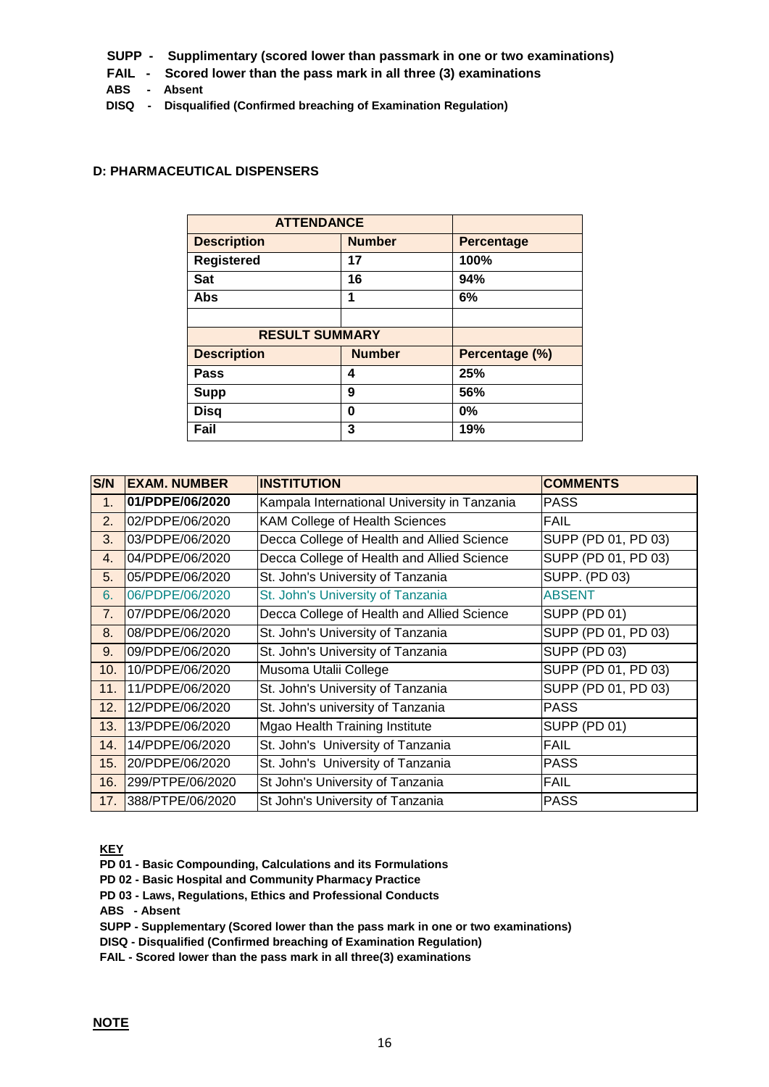- **SUPP Supplimentary (scored lower than passmark in one or two examinations)**
- **FAIL Scored lower than the pass mark in all three (3) examinations**
- **ABS Absent**
- **DISQ Disqualified (Confirmed breaching of Examination Regulation)**

#### **D: PHARMACEUTICAL DISPENSERS**

| <b>ATTENDANCE</b>     |               |                   |
|-----------------------|---------------|-------------------|
| <b>Description</b>    | <b>Number</b> | <b>Percentage</b> |
| <b>Registered</b>     | 17            | 100%              |
| <b>Sat</b>            | 16            | 94%               |
| <b>Abs</b>            | 1             | 6%                |
|                       |               |                   |
| <b>RESULT SUMMARY</b> |               |                   |
| <b>Description</b>    | <b>Number</b> | Percentage (%)    |
| <b>Pass</b>           | 4             | 25%               |
| <b>Supp</b>           | 9             | 56%               |
| <b>Disq</b>           | 0             | 0%                |
| Fail                  | 3             | 19%               |

| S/N | <b>EXAM. NUMBER</b> | <b>INSTITUTION</b>                           | <b>COMMENTS</b>     |
|-----|---------------------|----------------------------------------------|---------------------|
| 1.  | 01/PDPE/06/2020     | Kampala International University in Tanzania | <b>PASS</b>         |
| 2.  | 02/PDPE/06/2020     | KAM College of Health Sciences               | <b>FAIL</b>         |
| 3.  | 03/PDPE/06/2020     | Decca College of Health and Allied Science   | SUPP (PD 01, PD 03) |
| 4.  | 04/PDPE/06/2020     | Decca College of Health and Allied Science   | SUPP (PD 01, PD 03) |
| 5.  | 05/PDPE/06/2020     | St. John's University of Tanzania            | SUPP. (PD 03)       |
| 6.  | 06/PDPE/06/2020     | St. John's University of Tanzania            | <b>ABSENT</b>       |
| 7.  | 07/PDPE/06/2020     | Decca College of Health and Allied Science   | <b>SUPP (PD 01)</b> |
| 8.  | 08/PDPE/06/2020     | St. John's University of Tanzania            | SUPP (PD 01, PD 03) |
| 9.  | 09/PDPE/06/2020     | St. John's University of Tanzania            | <b>SUPP (PD 03)</b> |
| 10. | 10/PDPE/06/2020     | Musoma Utalii College                        | SUPP (PD 01, PD 03) |
| 11. | 11/PDPE/06/2020     | St. John's University of Tanzania            | SUPP (PD 01, PD 03) |
| 12. | 12/PDPE/06/2020     | St. John's university of Tanzania            | <b>PASS</b>         |
| 13. | 13/PDPE/06/2020     | Mgao Health Training Institute               | <b>SUPP (PD 01)</b> |
| 14. | 14/PDPE/06/2020     | St. John's University of Tanzania            | <b>FAIL</b>         |
| 15. | 20/PDPE/06/2020     | St. John's University of Tanzania            | <b>PASS</b>         |
| 16. | 299/PTPE/06/2020    | St John's University of Tanzania             | <b>FAIL</b>         |
| 17. | 388/PTPE/06/2020    | St John's University of Tanzania             | <b>PASS</b>         |

**KEY**

- **PD 01 - Basic Compounding, Calculations and its Formulations**
- **PD 02 - Basic Hospital and Community Pharmacy Practice**
- **PD 03 - Laws, Regulations, Ethics and Professional Conducts**
- **ABS - Absent**
- **SUPP - Supplementary (Scored lower than the pass mark in one or two examinations)**
- **DISQ - Disqualified (Confirmed breaching of Examination Regulation)**
- **FAIL - Scored lower than the pass mark in all three(3) examinations**